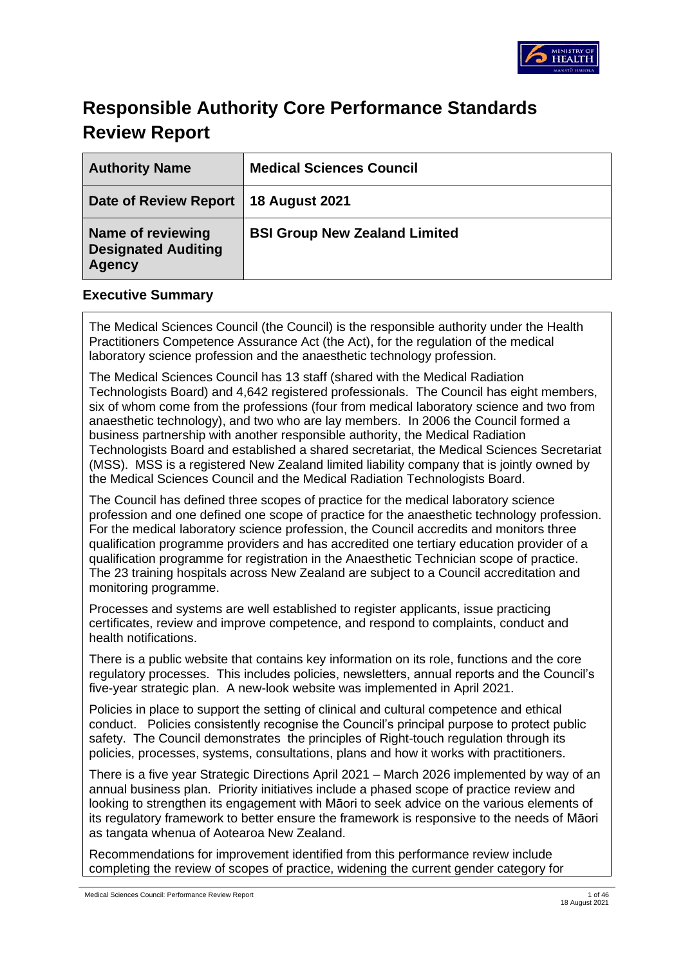

# **Responsible Authority Core Performance Standards Review Report**

| <b>Authority Name</b>                                            | <b>Medical Sciences Council</b>      |
|------------------------------------------------------------------|--------------------------------------|
| Date of Review Report   18 August 2021                           |                                      |
| Name of reviewing<br><b>Designated Auditing</b><br><b>Agency</b> | <b>BSI Group New Zealand Limited</b> |

## **Executive Summary**

The Medical Sciences Council (the Council) is the responsible authority under the Health Practitioners Competence Assurance Act (the Act), for the regulation of the medical laboratory science profession and the anaesthetic technology profession.

The Medical Sciences Council has 13 staff (shared with the Medical Radiation Technologists Board) and 4,642 registered professionals. The Council has eight members, six of whom come from the professions (four from medical laboratory science and two from anaesthetic technology), and two who are lay members. In 2006 the Council formed a business partnership with another responsible authority, the Medical Radiation Technologists Board and established a shared secretariat, the Medical Sciences Secretariat (MSS). MSS is a registered New Zealand limited liability company that is jointly owned by the Medical Sciences Council and the Medical Radiation Technologists Board.

The Council has defined three scopes of practice for the medical laboratory science profession and one defined one scope of practice for the anaesthetic technology profession. For the medical laboratory science profession, the Council accredits and monitors three qualification programme providers and has accredited one tertiary education provider of a qualification programme for registration in the Anaesthetic Technician scope of practice. The 23 training hospitals across New Zealand are subject to a Council accreditation and monitoring programme.

Processes and systems are well established to register applicants, issue practicing certificates, review and improve competence, and respond to complaints, conduct and health notifications.

There is a public website that contains key information on its role, functions and the core regulatory processes. This includes policies, newsletters, annual reports and the Council's five-year strategic plan. A new-look website was implemented in April 2021.

Policies in place to support the setting of clinical and cultural competence and ethical conduct. Policies consistently recognise the Council's principal purpose to protect public safety. The Council demonstrates the principles of Right-touch regulation through its policies, processes, systems, consultations, plans and how it works with practitioners.

There is a five year Strategic Directions April 2021 – March 2026 implemented by way of an annual business plan. Priority initiatives include a phased scope of practice review and looking to strengthen its engagement with Māori to seek advice on the various elements of its regulatory framework to better ensure the framework is responsive to the needs of Māori as tangata whenua of Aotearoa New Zealand.

Recommendations for improvement identified from this performance review include completing the review of scopes of practice, widening the current gender category for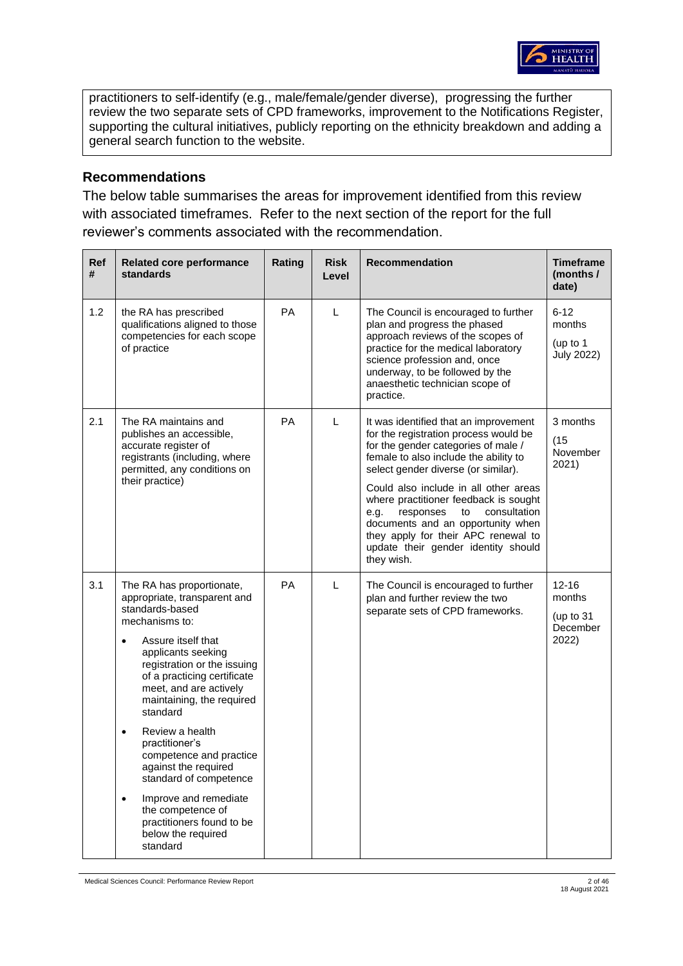

practitioners to self-identify (e.g., male/female/gender diverse), progressing the further review the two separate sets of CPD frameworks, improvement to the Notifications Register, supporting the cultural initiatives, publicly reporting on the ethnicity breakdown and adding a general search function to the website.

### **Recommendations**

The below table summarises the areas for improvement identified from this review with associated timeframes. Refer to the next section of the report for the full reviewer's comments associated with the recommendation.

| <b>Ref</b><br># | <b>Related core performance</b><br>standards                                                                                                                                                                                                                                                                                                                                                                                                                                                                                         | Rating    | <b>Risk</b><br>Level | <b>Recommendation</b>                                                                                                                                                                                                                                                                                                                                                                                                                                               | <b>Timeframe</b><br>(months /<br>date)                  |
|-----------------|--------------------------------------------------------------------------------------------------------------------------------------------------------------------------------------------------------------------------------------------------------------------------------------------------------------------------------------------------------------------------------------------------------------------------------------------------------------------------------------------------------------------------------------|-----------|----------------------|---------------------------------------------------------------------------------------------------------------------------------------------------------------------------------------------------------------------------------------------------------------------------------------------------------------------------------------------------------------------------------------------------------------------------------------------------------------------|---------------------------------------------------------|
| 1.2             | the RA has prescribed<br>qualifications aligned to those<br>competencies for each scope<br>of practice                                                                                                                                                                                                                                                                                                                                                                                                                               | PA        | L                    | The Council is encouraged to further<br>plan and progress the phased<br>approach reviews of the scopes of<br>practice for the medical laboratory<br>science profession and, once<br>underway, to be followed by the<br>anaesthetic technician scope of<br>practice.                                                                                                                                                                                                 | $6 - 12$<br>months<br>(up to 1<br><b>July 2022)</b>     |
| 2.1             | The RA maintains and<br>publishes an accessible,<br>accurate register of<br>registrants (including, where<br>permitted, any conditions on<br>their practice)                                                                                                                                                                                                                                                                                                                                                                         | PA        | L                    | It was identified that an improvement<br>for the registration process would be<br>for the gender categories of male /<br>female to also include the ability to<br>select gender diverse (or similar).<br>Could also include in all other areas<br>where practitioner feedback is sought<br>responses<br>consultation<br>e.g.<br>to<br>documents and an opportunity when<br>they apply for their APC renewal to<br>update their gender identity should<br>they wish. | 3 months<br>(15)<br>November<br>2021)                   |
| 3.1             | The RA has proportionate,<br>appropriate, transparent and<br>standards-based<br>mechanisms to:<br>Assure itself that<br>$\bullet$<br>applicants seeking<br>registration or the issuing<br>of a practicing certificate<br>meet, and are actively<br>maintaining, the required<br>standard<br>Review a health<br>$\bullet$<br>practitioner's<br>competence and practice<br>against the required<br>standard of competence<br>Improve and remediate<br>the competence of<br>practitioners found to be<br>below the required<br>standard | <b>PA</b> | L                    | The Council is encouraged to further<br>plan and further review the two<br>separate sets of CPD frameworks.                                                                                                                                                                                                                                                                                                                                                         | $12 - 16$<br>months<br>(up to $31$<br>December<br>2022) |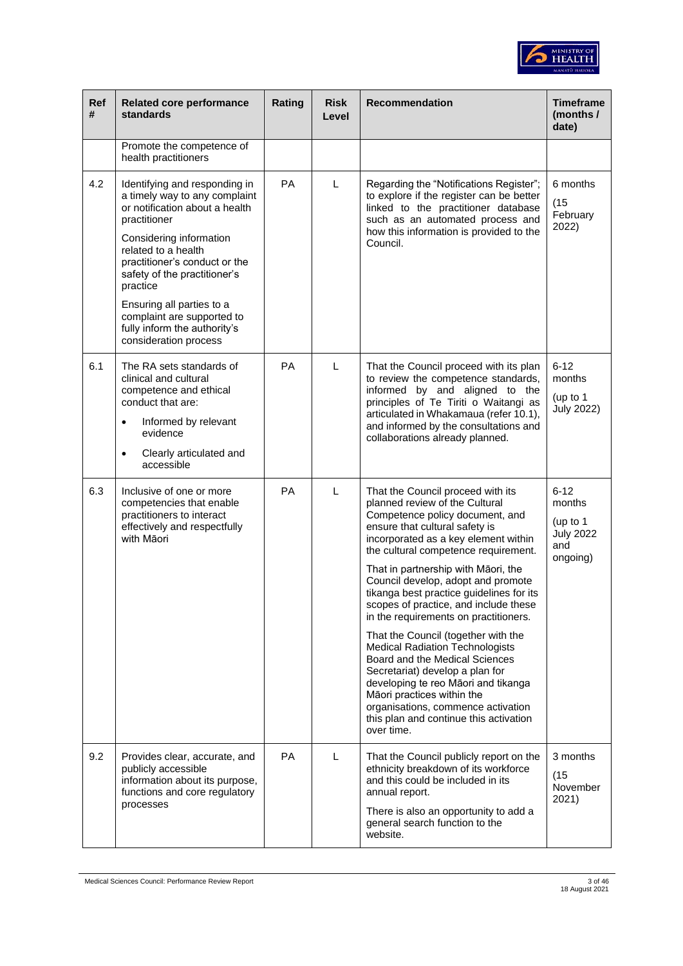

| <b>Ref</b><br># | <b>Related core performance</b><br>standards                                                                                                                                                                                                                                                                                                                        | Rating    | <b>Risk</b><br>Level | Recommendation                                                                                                                                                                                                                                                                                                                                                                                                                                                                                                                                                                                                                                                                                                                                               | <b>Timeframe</b><br>(months /<br>date)                                  |
|-----------------|---------------------------------------------------------------------------------------------------------------------------------------------------------------------------------------------------------------------------------------------------------------------------------------------------------------------------------------------------------------------|-----------|----------------------|--------------------------------------------------------------------------------------------------------------------------------------------------------------------------------------------------------------------------------------------------------------------------------------------------------------------------------------------------------------------------------------------------------------------------------------------------------------------------------------------------------------------------------------------------------------------------------------------------------------------------------------------------------------------------------------------------------------------------------------------------------------|-------------------------------------------------------------------------|
|                 | Promote the competence of<br>health practitioners                                                                                                                                                                                                                                                                                                                   |           |                      |                                                                                                                                                                                                                                                                                                                                                                                                                                                                                                                                                                                                                                                                                                                                                              |                                                                         |
| 4.2             | Identifying and responding in<br>a timely way to any complaint<br>or notification about a health<br>practitioner<br>Considering information<br>related to a health<br>practitioner's conduct or the<br>safety of the practitioner's<br>practice<br>Ensuring all parties to a<br>complaint are supported to<br>fully inform the authority's<br>consideration process | PA        | L                    | Regarding the "Notifications Register";<br>to explore if the register can be better<br>linked to the practitioner database<br>such as an automated process and<br>how this information is provided to the<br>Council.                                                                                                                                                                                                                                                                                                                                                                                                                                                                                                                                        | 6 months<br>(15)<br>February<br>2022)                                   |
| 6.1             | The RA sets standards of<br>clinical and cultural<br>competence and ethical<br>conduct that are:<br>Informed by relevant<br>$\bullet$<br>evidence<br>Clearly articulated and<br>$\bullet$<br>accessible                                                                                                                                                             | PA        | L                    | That the Council proceed with its plan<br>to review the competence standards,<br>informed by and aligned to the<br>principles of Te Tiriti o Waitangi as<br>articulated in Whakamaua (refer 10.1),<br>and informed by the consultations and<br>collaborations already planned.                                                                                                                                                                                                                                                                                                                                                                                                                                                                               | $6 - 12$<br>months<br>(up to 1<br><b>July 2022)</b>                     |
| 6.3             | Inclusive of one or more<br>competencies that enable<br>practitioners to interact<br>effectively and respectfully<br>with Māori                                                                                                                                                                                                                                     | PA        | L                    | That the Council proceed with its<br>planned review of the Cultural<br>Competence policy document, and<br>ensure that cultural safety is<br>incorporated as a key element within<br>the cultural competence requirement.<br>That in partnership with Māori, the<br>Council develop, adopt and promote<br>tikanga best practice guidelines for its<br>scopes of practice, and include these<br>in the requirements on practitioners.<br>That the Council (together with the<br><b>Medical Radiation Technologists</b><br>Board and the Medical Sciences<br>Secretariat) develop a plan for<br>developing te reo Māori and tikanga<br>Māori practices within the<br>organisations, commence activation<br>this plan and continue this activation<br>over time. | $6 - 12$<br>months<br>(up to $1$<br><b>July 2022</b><br>and<br>ongoing) |
| 9.2             | Provides clear, accurate, and<br>publicly accessible<br>information about its purpose,<br>functions and core regulatory<br>processes                                                                                                                                                                                                                                | <b>PA</b> | L                    | That the Council publicly report on the<br>ethnicity breakdown of its workforce<br>and this could be included in its<br>annual report.<br>There is also an opportunity to add a<br>general search function to the<br>website.                                                                                                                                                                                                                                                                                                                                                                                                                                                                                                                                | 3 months<br>(15)<br>November<br>2021)                                   |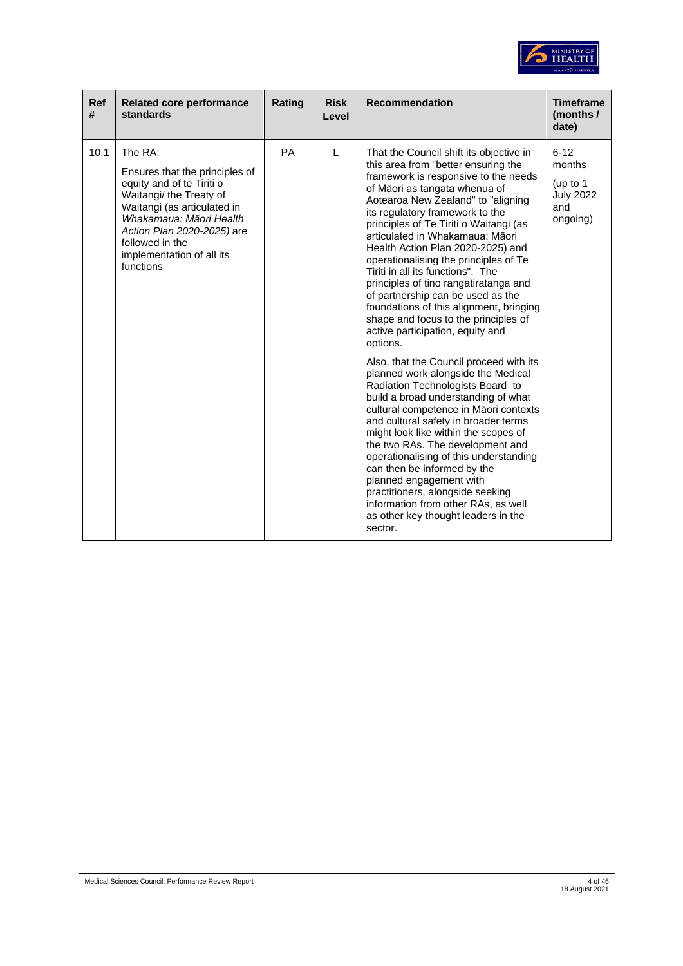

| <b>Ref</b><br># | <b>Related core performance</b><br>standards                                                                                                                                                                                                           | Rating    | <b>Risk</b><br>Level | <b>Recommendation</b>                                                                                                                                                                                                                                                                                                                                                                                                                                                                                                                                                                                                                                                                                                                                                                                                                                                                                                                                                                                                                                                                                                                                                                                       | <b>Timeframe</b><br>(months /<br>date)                                  |
|-----------------|--------------------------------------------------------------------------------------------------------------------------------------------------------------------------------------------------------------------------------------------------------|-----------|----------------------|-------------------------------------------------------------------------------------------------------------------------------------------------------------------------------------------------------------------------------------------------------------------------------------------------------------------------------------------------------------------------------------------------------------------------------------------------------------------------------------------------------------------------------------------------------------------------------------------------------------------------------------------------------------------------------------------------------------------------------------------------------------------------------------------------------------------------------------------------------------------------------------------------------------------------------------------------------------------------------------------------------------------------------------------------------------------------------------------------------------------------------------------------------------------------------------------------------------|-------------------------------------------------------------------------|
| 10.1            | The RA:<br>Ensures that the principles of<br>equity and of te Tiriti o<br>Waitangi/ the Treaty of<br>Waitangi (as articulated in<br>Whakamaua: Māori Health<br>Action Plan 2020-2025) are<br>followed in the<br>implementation of all its<br>functions | <b>PA</b> | L                    | That the Council shift its objective in<br>this area from "better ensuring the<br>framework is responsive to the needs<br>of Māori as tangata whenua of<br>Aotearoa New Zealand" to "aligning<br>its regulatory framework to the<br>principles of Te Tiriti o Waitangi (as<br>articulated in Whakamaua: Māori<br>Health Action Plan 2020-2025) and<br>operationalising the principles of Te<br>Tiriti in all its functions". The<br>principles of tino rangatiratanga and<br>of partnership can be used as the<br>foundations of this alignment, bringing<br>shape and focus to the principles of<br>active participation, equity and<br>options.<br>Also, that the Council proceed with its<br>planned work alongside the Medical<br>Radiation Technologists Board to<br>build a broad understanding of what<br>cultural competence in Māori contexts<br>and cultural safety in broader terms<br>might look like within the scopes of<br>the two RAs. The development and<br>operationalising of this understanding<br>can then be informed by the<br>planned engagement with<br>practitioners, alongside seeking<br>information from other RAs, as well<br>as other key thought leaders in the<br>sector. | $6 - 12$<br>months<br>(up to $1$<br><b>July 2022</b><br>and<br>ongoing) |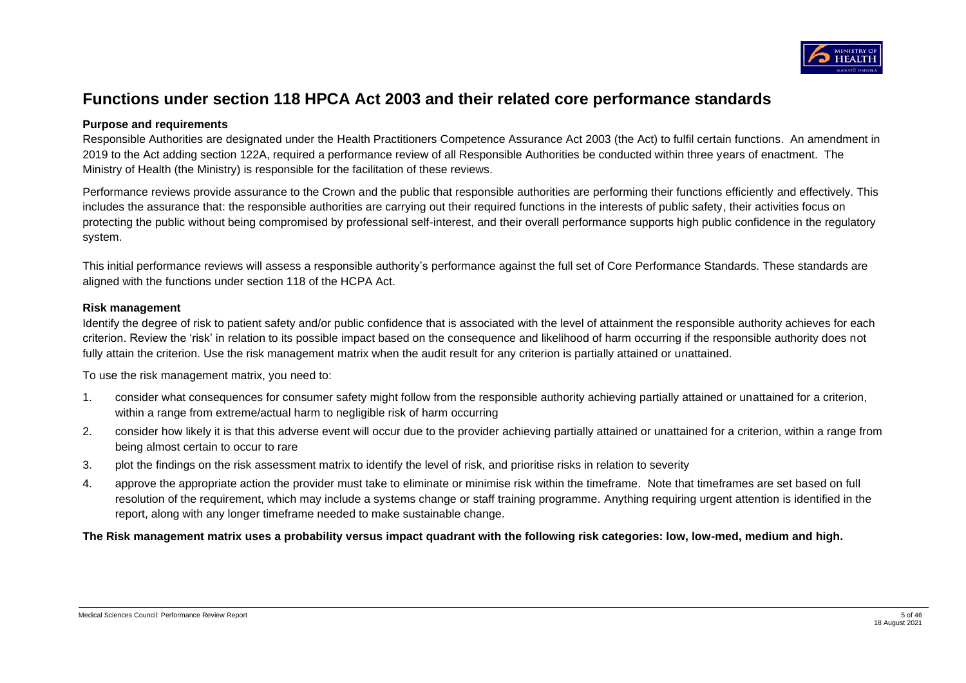

# **Functions under section 118 HPCA Act 2003 and their related core performance standards**

### **Purpose and requirements**

Responsible Authorities are designated under the Health Practitioners Competence Assurance Act 2003 (the Act) to fulfil certain functions. An amendment in 2019 to the Act adding section 122A, required a performance review of all Responsible Authorities be conducted within three years of enactment. The Ministry of Health (the Ministry) is responsible for the facilitation of these reviews.

Performance reviews provide assurance to the Crown and the public that responsible authorities are performing their functions efficiently and effectively. This includes the assurance that: the responsible authorities are carrying out their required functions in the interests of public safety, their activities focus on protecting the public without being compromised by professional self-interest, and their overall performance supports high public confidence in the regulatory system.

This initial performance reviews will assess a responsible authority's performance against the full set of Core Performance Standards. These standards are aligned with the functions under section 118 of the HCPA Act.

#### **Risk management**

Identify the degree of risk to patient safety and/or public confidence that is associated with the level of attainment the responsible authority achieves for each criterion. Review the 'risk' in relation to its possible impact based on the consequence and likelihood of harm occurring if the responsible authority does not fully attain the criterion. Use the risk management matrix when the audit result for any criterion is partially attained or unattained.

To use the risk management matrix, you need to:

- 1. consider what consequences for consumer safety might follow from the responsible authority achieving partially attained or unattained for a criterion, within a range from extreme/actual harm to negligible risk of harm occurring
- 2. consider how likely it is that this adverse event will occur due to the provider achieving partially attained or unattained for a criterion, within a range from being almost certain to occur to rare
- 3. plot the findings on the risk assessment matrix to identify the level of risk, and prioritise risks in relation to severity
- 4. approve the appropriate action the provider must take to eliminate or minimise risk within the timeframe. Note that timeframes are set based on full resolution of the requirement, which may include a systems change or staff training programme. Anything requiring urgent attention is identified in the report, along with any longer timeframe needed to make sustainable change.

**The Risk management matrix uses a probability versus impact quadrant with the following risk categories: low, low-med, medium and high.**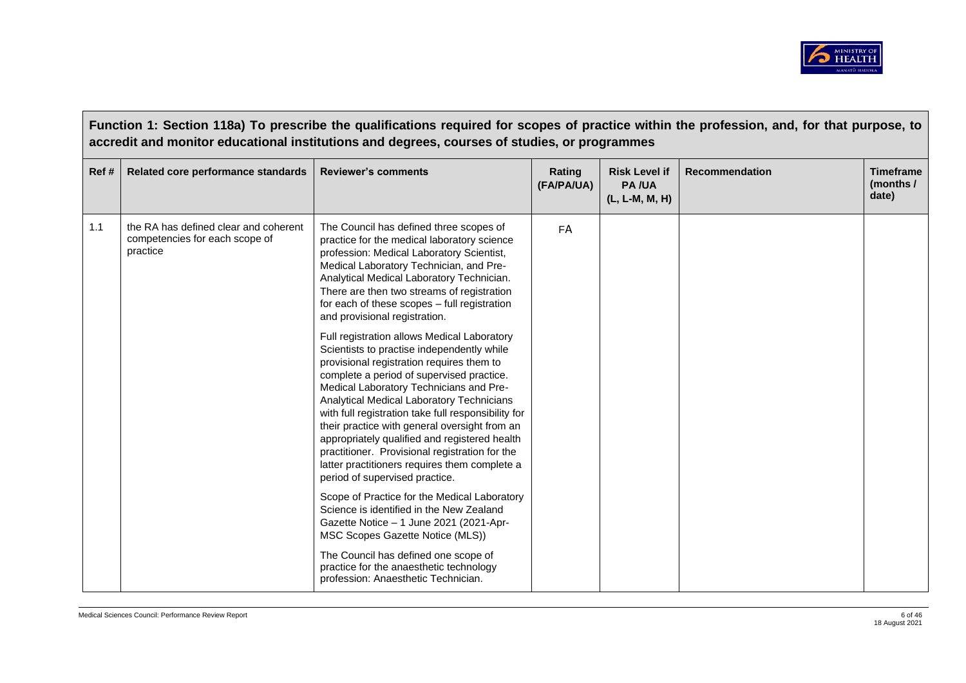

|      | Function 1: Section 118a) To prescribe the qualifications required for scopes of practice within the profession, and, for that purpose, to<br>accredit and monitor educational institutions and degrees, courses of studies, or programmes |                                                                                                                                                                                                                                                                                                                                                                                                                                                                                                                                                                           |                      |                                                        |                |                                        |  |
|------|--------------------------------------------------------------------------------------------------------------------------------------------------------------------------------------------------------------------------------------------|---------------------------------------------------------------------------------------------------------------------------------------------------------------------------------------------------------------------------------------------------------------------------------------------------------------------------------------------------------------------------------------------------------------------------------------------------------------------------------------------------------------------------------------------------------------------------|----------------------|--------------------------------------------------------|----------------|----------------------------------------|--|
| Ref# | Related core performance standards                                                                                                                                                                                                         | <b>Reviewer's comments</b>                                                                                                                                                                                                                                                                                                                                                                                                                                                                                                                                                | Rating<br>(FA/PA/UA) | <b>Risk Level if</b><br><b>PA/UA</b><br>(L, L-M, M, H) | Recommendation | <b>Timeframe</b><br>(months /<br>date) |  |
| 1.1  | the RA has defined clear and coherent<br>competencies for each scope of<br>practice                                                                                                                                                        | The Council has defined three scopes of<br>practice for the medical laboratory science<br>profession: Medical Laboratory Scientist,<br>Medical Laboratory Technician, and Pre-<br>Analytical Medical Laboratory Technician.<br>There are then two streams of registration<br>for each of these scopes - full registration<br>and provisional registration.                                                                                                                                                                                                                | FA                   |                                                        |                |                                        |  |
|      |                                                                                                                                                                                                                                            | Full registration allows Medical Laboratory<br>Scientists to practise independently while<br>provisional registration requires them to<br>complete a period of supervised practice.<br>Medical Laboratory Technicians and Pre-<br>Analytical Medical Laboratory Technicians<br>with full registration take full responsibility for<br>their practice with general oversight from an<br>appropriately qualified and registered health<br>practitioner. Provisional registration for the<br>latter practitioners requires them complete a<br>period of supervised practice. |                      |                                                        |                |                                        |  |
|      |                                                                                                                                                                                                                                            | Scope of Practice for the Medical Laboratory<br>Science is identified in the New Zealand<br>Gazette Notice - 1 June 2021 (2021-Apr-<br>MSC Scopes Gazette Notice (MLS))                                                                                                                                                                                                                                                                                                                                                                                                   |                      |                                                        |                |                                        |  |
|      |                                                                                                                                                                                                                                            | The Council has defined one scope of<br>practice for the anaesthetic technology<br>profession: Anaesthetic Technician.                                                                                                                                                                                                                                                                                                                                                                                                                                                    |                      |                                                        |                |                                        |  |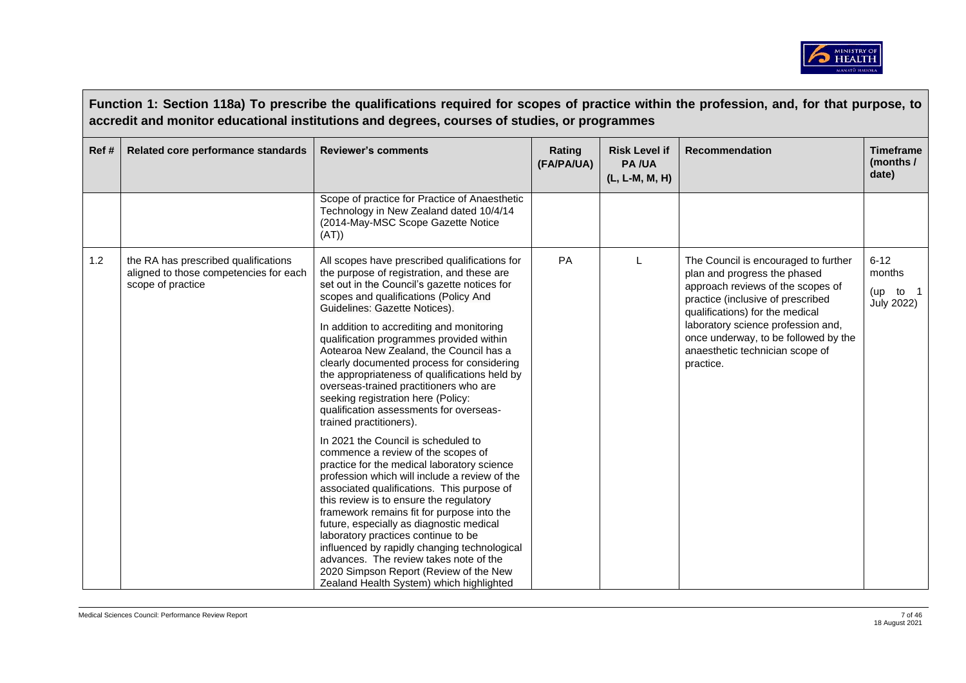

|       |                                                                                                     | Function 1: Section 118a) To prescribe the qualifications required for scopes of practice within the profession, and, for that purpose, to<br>accredit and monitor educational institutions and degrees, courses of studies, or programmes                                                                                                                                                          |                      |                                                        |                                                                                                                                                                                   |                                                     |
|-------|-----------------------------------------------------------------------------------------------------|-----------------------------------------------------------------------------------------------------------------------------------------------------------------------------------------------------------------------------------------------------------------------------------------------------------------------------------------------------------------------------------------------------|----------------------|--------------------------------------------------------|-----------------------------------------------------------------------------------------------------------------------------------------------------------------------------------|-----------------------------------------------------|
| Ref # | Related core performance standards                                                                  | <b>Reviewer's comments</b>                                                                                                                                                                                                                                                                                                                                                                          | Rating<br>(FA/PA/UA) | <b>Risk Level if</b><br><b>PA/UA</b><br>(L, L-M, M, H) | <b>Recommendation</b>                                                                                                                                                             | <b>Timeframe</b><br>(months /<br>date)              |
|       |                                                                                                     | Scope of practice for Practice of Anaesthetic<br>Technology in New Zealand dated 10/4/14<br>(2014-May-MSC Scope Gazette Notice<br>(AT))                                                                                                                                                                                                                                                             |                      |                                                        |                                                                                                                                                                                   |                                                     |
| 1.2   | the RA has prescribed qualifications<br>aligned to those competencies for each<br>scope of practice | All scopes have prescribed qualifications for<br>the purpose of registration, and these are<br>set out in the Council's gazette notices for<br>scopes and qualifications (Policy And<br>Guidelines: Gazette Notices).                                                                                                                                                                               | PA                   | L                                                      | The Council is encouraged to further<br>plan and progress the phased<br>approach reviews of the scopes of<br>practice (inclusive of prescribed<br>qualifications) for the medical | $6 - 12$<br>months<br>(up to 1<br><b>July 2022)</b> |
|       |                                                                                                     | In addition to accrediting and monitoring<br>qualification programmes provided within<br>Aotearoa New Zealand, the Council has a<br>clearly documented process for considering<br>the appropriateness of qualifications held by<br>overseas-trained practitioners who are<br>seeking registration here (Policy:<br>qualification assessments for overseas-<br>trained practitioners).               |                      |                                                        | laboratory science profession and,<br>once underway, to be followed by the<br>anaesthetic technician scope of<br>practice.                                                        |                                                     |
|       |                                                                                                     | In 2021 the Council is scheduled to<br>commence a review of the scopes of<br>practice for the medical laboratory science<br>profession which will include a review of the<br>associated qualifications. This purpose of<br>this review is to ensure the regulatory<br>framework remains fit for purpose into the<br>future, especially as diagnostic medical<br>laboratory practices continue to be |                      |                                                        |                                                                                                                                                                                   |                                                     |
|       |                                                                                                     | influenced by rapidly changing technological<br>advances. The review takes note of the<br>2020 Simpson Report (Review of the New<br>Zealand Health System) which highlighted                                                                                                                                                                                                                        |                      |                                                        |                                                                                                                                                                                   |                                                     |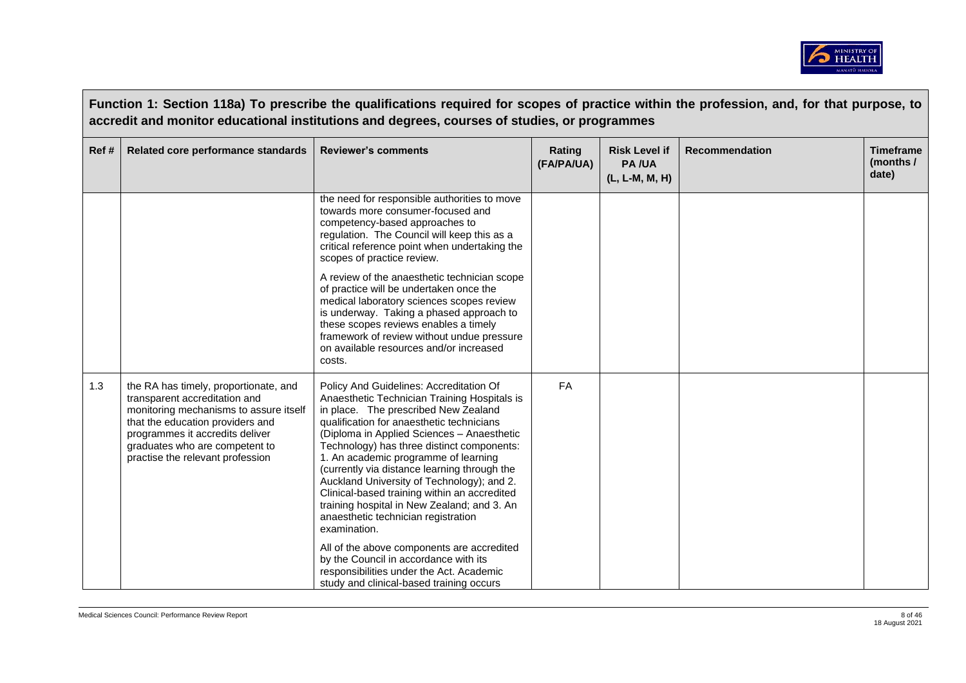

|       |                                                                                                                                                                                                                                                               | Function 1: Section 118a) To prescribe the qualifications required for scopes of practice within the profession, and, for that purpose, to<br>accredit and monitor educational institutions and degrees, courses of studies, or programmes                                                                                                                                                                                                                                                                                                                                                                                                                                                                                                          |                      |                                                        |                       |                                        |
|-------|---------------------------------------------------------------------------------------------------------------------------------------------------------------------------------------------------------------------------------------------------------------|-----------------------------------------------------------------------------------------------------------------------------------------------------------------------------------------------------------------------------------------------------------------------------------------------------------------------------------------------------------------------------------------------------------------------------------------------------------------------------------------------------------------------------------------------------------------------------------------------------------------------------------------------------------------------------------------------------------------------------------------------------|----------------------|--------------------------------------------------------|-----------------------|----------------------------------------|
| Ref # | Related core performance standards                                                                                                                                                                                                                            | <b>Reviewer's comments</b>                                                                                                                                                                                                                                                                                                                                                                                                                                                                                                                                                                                                                                                                                                                          | Rating<br>(FA/PA/UA) | <b>Risk Level if</b><br><b>PA/UA</b><br>(L, L-M, M, H) | <b>Recommendation</b> | <b>Timeframe</b><br>(months /<br>date) |
|       |                                                                                                                                                                                                                                                               | the need for responsible authorities to move<br>towards more consumer-focused and<br>competency-based approaches to<br>regulation. The Council will keep this as a<br>critical reference point when undertaking the<br>scopes of practice review.<br>A review of the anaesthetic technician scope<br>of practice will be undertaken once the<br>medical laboratory sciences scopes review<br>is underway. Taking a phased approach to<br>these scopes reviews enables a timely<br>framework of review without undue pressure<br>on available resources and/or increased<br>costs.                                                                                                                                                                   |                      |                                                        |                       |                                        |
| 1.3   | the RA has timely, proportionate, and<br>transparent accreditation and<br>monitoring mechanisms to assure itself<br>that the education providers and<br>programmes it accredits deliver<br>graduates who are competent to<br>practise the relevant profession | Policy And Guidelines: Accreditation Of<br>Anaesthetic Technician Training Hospitals is<br>in place. The prescribed New Zealand<br>qualification for anaesthetic technicians<br>(Diploma in Applied Sciences - Anaesthetic<br>Technology) has three distinct components:<br>1. An academic programme of learning<br>(currently via distance learning through the<br>Auckland University of Technology); and 2.<br>Clinical-based training within an accredited<br>training hospital in New Zealand; and 3. An<br>anaesthetic technician registration<br>examination.<br>All of the above components are accredited<br>by the Council in accordance with its<br>responsibilities under the Act. Academic<br>study and clinical-based training occurs | <b>FA</b>            |                                                        |                       |                                        |

 $\sqrt{ }$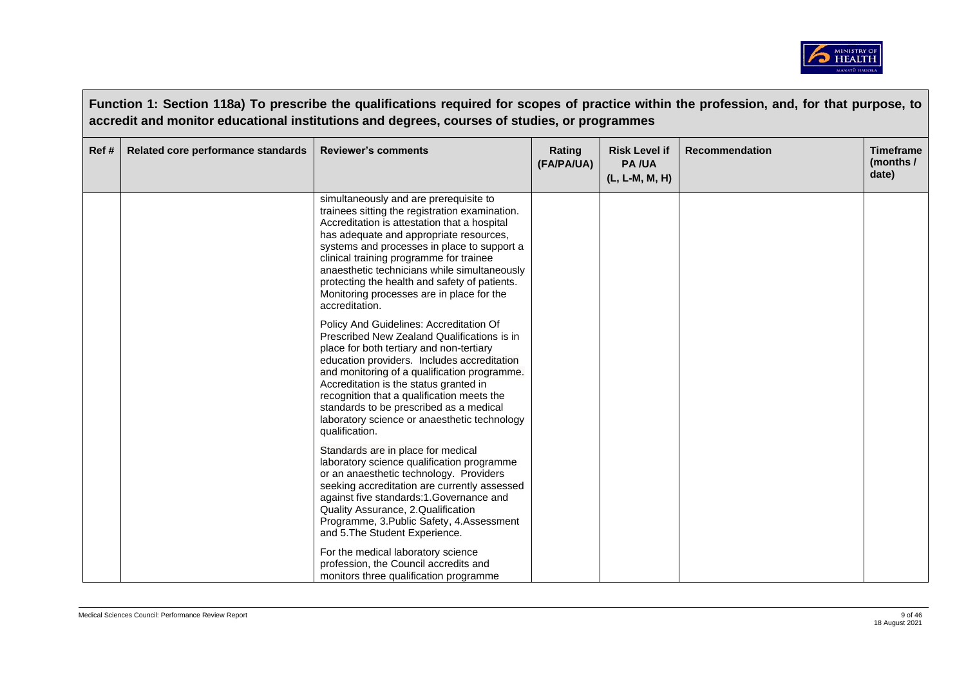

|       | Function 1: Section 118a) To prescribe the qualifications required for scopes of practice within the profession, and, for that purpose, to<br>accredit and monitor educational institutions and degrees, courses of studies, or programmes |                                                                                                                                                                                                                                                                                                                                                                                                                                               |                      |                                                        |                       |                                        |  |  |
|-------|--------------------------------------------------------------------------------------------------------------------------------------------------------------------------------------------------------------------------------------------|-----------------------------------------------------------------------------------------------------------------------------------------------------------------------------------------------------------------------------------------------------------------------------------------------------------------------------------------------------------------------------------------------------------------------------------------------|----------------------|--------------------------------------------------------|-----------------------|----------------------------------------|--|--|
| Ref # | Related core performance standards                                                                                                                                                                                                         | <b>Reviewer's comments</b>                                                                                                                                                                                                                                                                                                                                                                                                                    | Rating<br>(FA/PA/UA) | <b>Risk Level if</b><br><b>PA/UA</b><br>(L, L-M, M, H) | <b>Recommendation</b> | <b>Timeframe</b><br>(months /<br>date) |  |  |
|       |                                                                                                                                                                                                                                            | simultaneously and are prerequisite to<br>trainees sitting the registration examination.<br>Accreditation is attestation that a hospital<br>has adequate and appropriate resources,<br>systems and processes in place to support a<br>clinical training programme for trainee<br>anaesthetic technicians while simultaneously<br>protecting the health and safety of patients.<br>Monitoring processes are in place for the<br>accreditation. |                      |                                                        |                       |                                        |  |  |
|       |                                                                                                                                                                                                                                            | Policy And Guidelines: Accreditation Of<br>Prescribed New Zealand Qualifications is in<br>place for both tertiary and non-tertiary<br>education providers. Includes accreditation<br>and monitoring of a qualification programme.<br>Accreditation is the status granted in<br>recognition that a qualification meets the<br>standards to be prescribed as a medical<br>laboratory science or anaesthetic technology<br>qualification.        |                      |                                                        |                       |                                        |  |  |
|       |                                                                                                                                                                                                                                            | Standards are in place for medical<br>laboratory science qualification programme<br>or an anaesthetic technology. Providers<br>seeking accreditation are currently assessed<br>against five standards:1.Governance and<br>Quality Assurance, 2.Qualification<br>Programme, 3. Public Safety, 4. Assessment<br>and 5. The Student Experience.                                                                                                  |                      |                                                        |                       |                                        |  |  |
|       |                                                                                                                                                                                                                                            | For the medical laboratory science<br>profession, the Council accredits and<br>monitors three qualification programme                                                                                                                                                                                                                                                                                                                         |                      |                                                        |                       |                                        |  |  |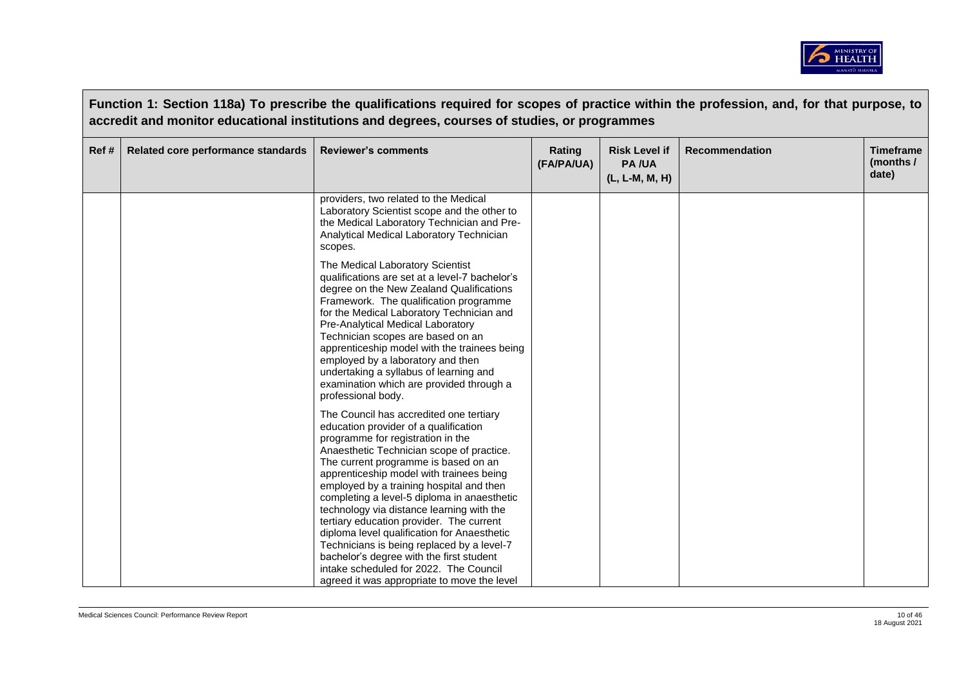

|      |                                    | Function 1: Section 118a) To prescribe the qualifications required for scopes of practice within the profession, and, for that purpose, to<br>accredit and monitor educational institutions and degrees, courses of studies, or programmes                                                                                                                                                                                                                                                                                                                                                                                    |                      |                                                        |                |                                        |
|------|------------------------------------|-------------------------------------------------------------------------------------------------------------------------------------------------------------------------------------------------------------------------------------------------------------------------------------------------------------------------------------------------------------------------------------------------------------------------------------------------------------------------------------------------------------------------------------------------------------------------------------------------------------------------------|----------------------|--------------------------------------------------------|----------------|----------------------------------------|
| Ref# | Related core performance standards | <b>Reviewer's comments</b>                                                                                                                                                                                                                                                                                                                                                                                                                                                                                                                                                                                                    | Rating<br>(FA/PA/UA) | <b>Risk Level if</b><br><b>PA/UA</b><br>(L, L-M, M, H) | Recommendation | <b>Timeframe</b><br>(months /<br>date) |
|      |                                    | providers, two related to the Medical<br>Laboratory Scientist scope and the other to<br>the Medical Laboratory Technician and Pre-<br>Analytical Medical Laboratory Technician<br>scopes.                                                                                                                                                                                                                                                                                                                                                                                                                                     |                      |                                                        |                |                                        |
|      |                                    | The Medical Laboratory Scientist<br>qualifications are set at a level-7 bachelor's<br>degree on the New Zealand Qualifications<br>Framework. The qualification programme<br>for the Medical Laboratory Technician and<br>Pre-Analytical Medical Laboratory<br>Technician scopes are based on an<br>apprenticeship model with the trainees being<br>employed by a laboratory and then<br>undertaking a syllabus of learning and<br>examination which are provided through a<br>professional body.                                                                                                                              |                      |                                                        |                |                                        |
|      |                                    | The Council has accredited one tertiary<br>education provider of a qualification<br>programme for registration in the<br>Anaesthetic Technician scope of practice.<br>The current programme is based on an<br>apprenticeship model with trainees being<br>employed by a training hospital and then<br>completing a level-5 diploma in anaesthetic<br>technology via distance learning with the<br>tertiary education provider. The current<br>diploma level qualification for Anaesthetic<br>Technicians is being replaced by a level-7<br>bachelor's degree with the first student<br>intake scheduled for 2022. The Council |                      |                                                        |                |                                        |
|      |                                    | agreed it was appropriate to move the level                                                                                                                                                                                                                                                                                                                                                                                                                                                                                                                                                                                   |                      |                                                        |                |                                        |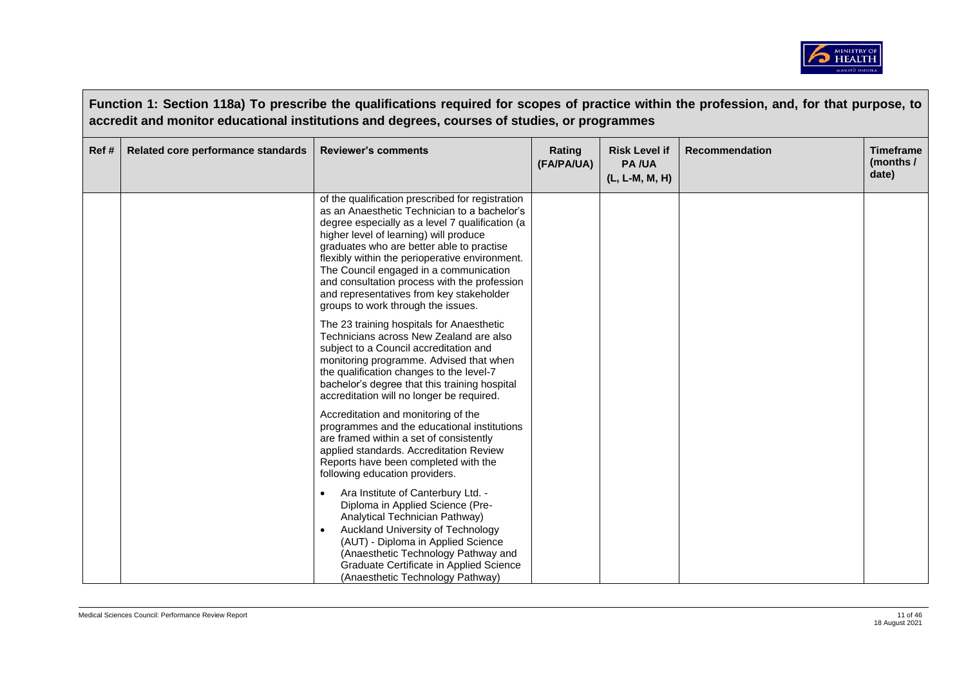

|       | Function 1: Section 118a) To prescribe the qualifications required for scopes of practice within the profession, and, for that purpose, to<br>accredit and monitor educational institutions and degrees, courses of studies, or programmes |                                                                                                                                                                                                                                                                                                                                                                                                                                                                          |                      |                                                        |                       |                                        |  |  |
|-------|--------------------------------------------------------------------------------------------------------------------------------------------------------------------------------------------------------------------------------------------|--------------------------------------------------------------------------------------------------------------------------------------------------------------------------------------------------------------------------------------------------------------------------------------------------------------------------------------------------------------------------------------------------------------------------------------------------------------------------|----------------------|--------------------------------------------------------|-----------------------|----------------------------------------|--|--|
| Ref # | Related core performance standards                                                                                                                                                                                                         | <b>Reviewer's comments</b>                                                                                                                                                                                                                                                                                                                                                                                                                                               | Rating<br>(FA/PA/UA) | <b>Risk Level if</b><br><b>PA/UA</b><br>(L, L-M, M, H) | <b>Recommendation</b> | <b>Timeframe</b><br>(months /<br>date) |  |  |
|       |                                                                                                                                                                                                                                            | of the qualification prescribed for registration<br>as an Anaesthetic Technician to a bachelor's<br>degree especially as a level 7 qualification (a<br>higher level of learning) will produce<br>graduates who are better able to practise<br>flexibly within the perioperative environment.<br>The Council engaged in a communication<br>and consultation process with the profession<br>and representatives from key stakeholder<br>groups to work through the issues. |                      |                                                        |                       |                                        |  |  |
|       |                                                                                                                                                                                                                                            | The 23 training hospitals for Anaesthetic<br>Technicians across New Zealand are also<br>subject to a Council accreditation and<br>monitoring programme. Advised that when<br>the qualification changes to the level-7<br>bachelor's degree that this training hospital<br>accreditation will no longer be required.                                                                                                                                                      |                      |                                                        |                       |                                        |  |  |
|       |                                                                                                                                                                                                                                            | Accreditation and monitoring of the<br>programmes and the educational institutions<br>are framed within a set of consistently<br>applied standards. Accreditation Review<br>Reports have been completed with the<br>following education providers.                                                                                                                                                                                                                       |                      |                                                        |                       |                                        |  |  |
|       |                                                                                                                                                                                                                                            | Ara Institute of Canterbury Ltd. -<br>Diploma in Applied Science (Pre-<br>Analytical Technician Pathway)<br>Auckland University of Technology<br>(AUT) - Diploma in Applied Science<br>(Anaesthetic Technology Pathway and<br>Graduate Certificate in Applied Science<br>(Anaesthetic Technology Pathway)                                                                                                                                                                |                      |                                                        |                       |                                        |  |  |

 $\sqrt{ }$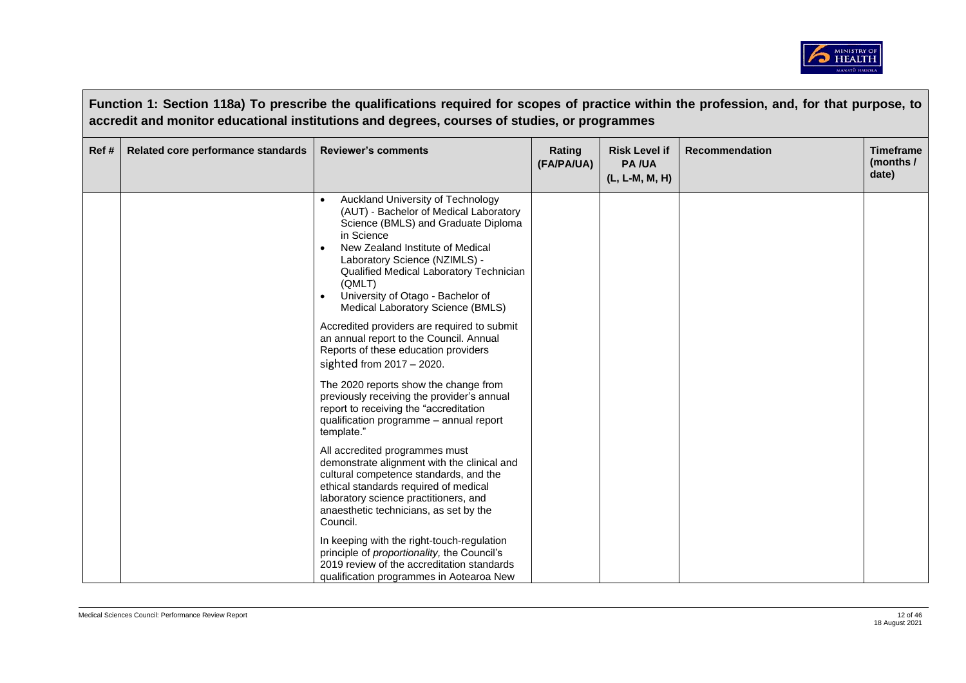

|      | Function 1: Section 118a) To prescribe the qualifications required for scopes of practice within the profession, and, for that purpose, to<br>accredit and monitor educational institutions and degrees, courses of studies, or programmes |                                                                                                                                                                                                                                                                                                                                      |                      |                                                        |                       |                                        |  |  |
|------|--------------------------------------------------------------------------------------------------------------------------------------------------------------------------------------------------------------------------------------------|--------------------------------------------------------------------------------------------------------------------------------------------------------------------------------------------------------------------------------------------------------------------------------------------------------------------------------------|----------------------|--------------------------------------------------------|-----------------------|----------------------------------------|--|--|
| Ref# | Related core performance standards                                                                                                                                                                                                         | <b>Reviewer's comments</b>                                                                                                                                                                                                                                                                                                           | Rating<br>(FA/PA/UA) | <b>Risk Level if</b><br><b>PA/UA</b><br>(L, L-M, M, H) | <b>Recommendation</b> | <b>Timeframe</b><br>(months /<br>date) |  |  |
|      |                                                                                                                                                                                                                                            | Auckland University of Technology<br>(AUT) - Bachelor of Medical Laboratory<br>Science (BMLS) and Graduate Diploma<br>in Science<br>New Zealand Institute of Medical<br>Laboratory Science (NZIMLS) -<br>Qualified Medical Laboratory Technician<br>(QMLT)<br>University of Otago - Bachelor of<br>Medical Laboratory Science (BMLS) |                      |                                                        |                       |                                        |  |  |
|      |                                                                                                                                                                                                                                            | Accredited providers are required to submit<br>an annual report to the Council. Annual<br>Reports of these education providers<br>sighted from $2017 - 2020$ .                                                                                                                                                                       |                      |                                                        |                       |                                        |  |  |
|      |                                                                                                                                                                                                                                            | The 2020 reports show the change from<br>previously receiving the provider's annual<br>report to receiving the "accreditation<br>qualification programme - annual report<br>template."                                                                                                                                               |                      |                                                        |                       |                                        |  |  |
|      |                                                                                                                                                                                                                                            | All accredited programmes must<br>demonstrate alignment with the clinical and<br>cultural competence standards, and the<br>ethical standards required of medical<br>laboratory science practitioners, and<br>anaesthetic technicians, as set by the<br>Council.                                                                      |                      |                                                        |                       |                                        |  |  |
|      |                                                                                                                                                                                                                                            | In keeping with the right-touch-regulation<br>principle of proportionality, the Council's<br>2019 review of the accreditation standards<br>qualification programmes in Aotearoa New                                                                                                                                                  |                      |                                                        |                       |                                        |  |  |

 $\sqrt{ }$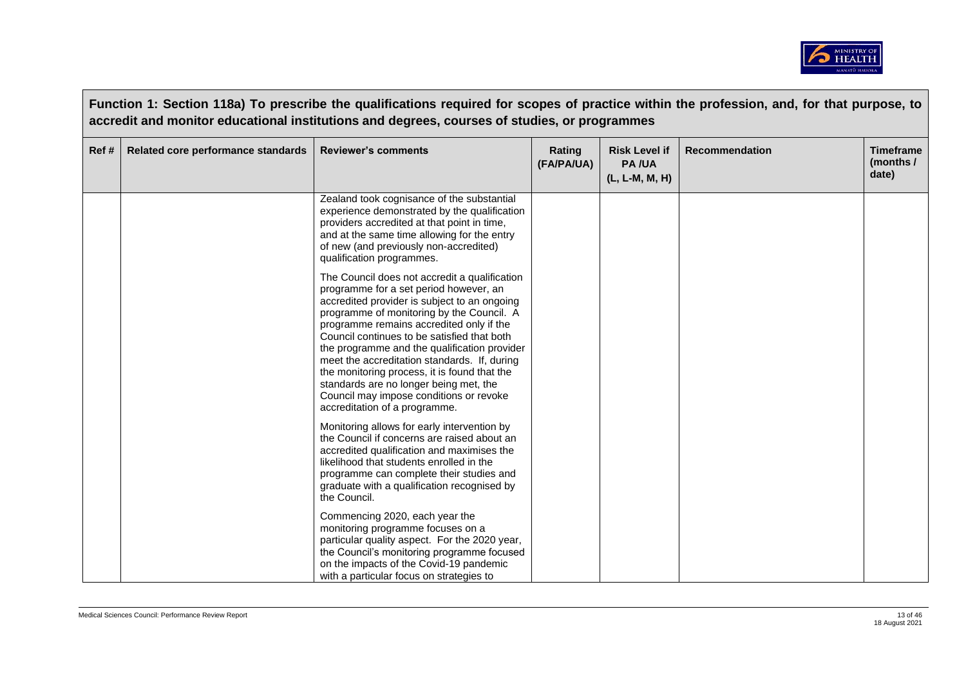

|       | Function 1: Section 118a) To prescribe the qualifications required for scopes of practice within the profession, and, for that purpose, to<br>accredit and monitor educational institutions and degrees, courses of studies, or programmes |                                                                                                                                                                                                                                                                                                                                                                                                                                                                                                                                                       |                      |                                                        |                       |                                        |  |  |
|-------|--------------------------------------------------------------------------------------------------------------------------------------------------------------------------------------------------------------------------------------------|-------------------------------------------------------------------------------------------------------------------------------------------------------------------------------------------------------------------------------------------------------------------------------------------------------------------------------------------------------------------------------------------------------------------------------------------------------------------------------------------------------------------------------------------------------|----------------------|--------------------------------------------------------|-----------------------|----------------------------------------|--|--|
| Ref # | Related core performance standards                                                                                                                                                                                                         | <b>Reviewer's comments</b>                                                                                                                                                                                                                                                                                                                                                                                                                                                                                                                            | Rating<br>(FA/PA/UA) | <b>Risk Level if</b><br><b>PA/UA</b><br>(L, L-M, M, H) | <b>Recommendation</b> | <b>Timeframe</b><br>(months /<br>date) |  |  |
|       |                                                                                                                                                                                                                                            | Zealand took cognisance of the substantial<br>experience demonstrated by the qualification<br>providers accredited at that point in time,<br>and at the same time allowing for the entry<br>of new (and previously non-accredited)<br>qualification programmes.                                                                                                                                                                                                                                                                                       |                      |                                                        |                       |                                        |  |  |
|       |                                                                                                                                                                                                                                            | The Council does not accredit a qualification<br>programme for a set period however, an<br>accredited provider is subject to an ongoing<br>programme of monitoring by the Council. A<br>programme remains accredited only if the<br>Council continues to be satisfied that both<br>the programme and the qualification provider<br>meet the accreditation standards. If, during<br>the monitoring process, it is found that the<br>standards are no longer being met, the<br>Council may impose conditions or revoke<br>accreditation of a programme. |                      |                                                        |                       |                                        |  |  |
|       |                                                                                                                                                                                                                                            | Monitoring allows for early intervention by<br>the Council if concerns are raised about an<br>accredited qualification and maximises the<br>likelihood that students enrolled in the<br>programme can complete their studies and<br>graduate with a qualification recognised by<br>the Council.                                                                                                                                                                                                                                                       |                      |                                                        |                       |                                        |  |  |
|       |                                                                                                                                                                                                                                            | Commencing 2020, each year the<br>monitoring programme focuses on a<br>particular quality aspect. For the 2020 year,<br>the Council's monitoring programme focused<br>on the impacts of the Covid-19 pandemic<br>with a particular focus on strategies to                                                                                                                                                                                                                                                                                             |                      |                                                        |                       |                                        |  |  |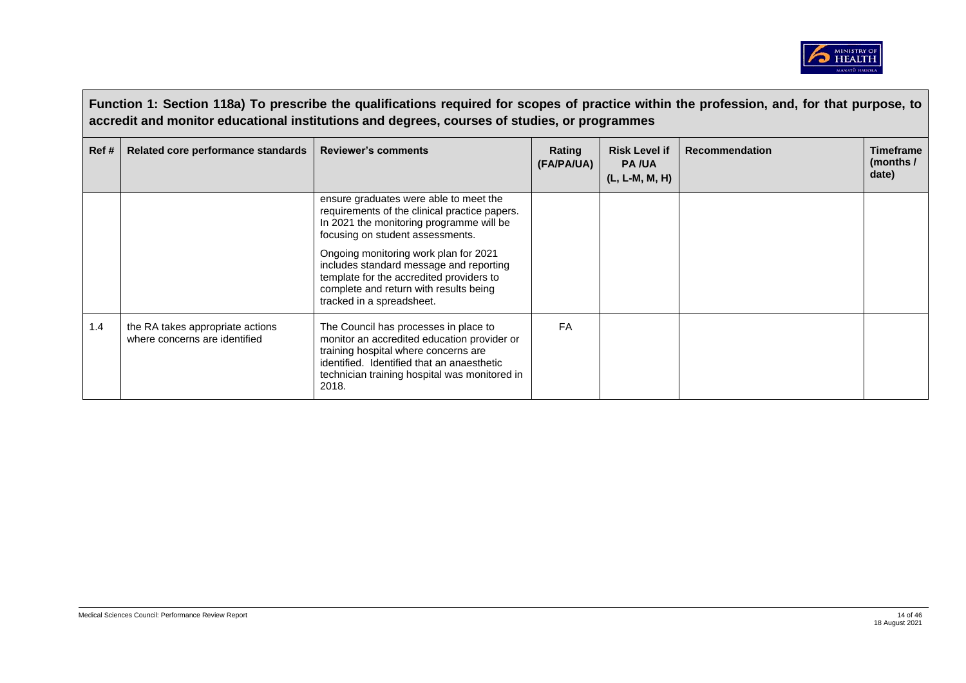

|      | Function 1: Section 118a) To prescribe the qualifications required for scopes of practice within the profession, and, for that purpose, to<br>accredit and monitor educational institutions and degrees, courses of studies, or programmes |                                                                                                                                                                                                                                                                                                                                                                                |                      |                                                        |                       |                                          |  |  |
|------|--------------------------------------------------------------------------------------------------------------------------------------------------------------------------------------------------------------------------------------------|--------------------------------------------------------------------------------------------------------------------------------------------------------------------------------------------------------------------------------------------------------------------------------------------------------------------------------------------------------------------------------|----------------------|--------------------------------------------------------|-----------------------|------------------------------------------|--|--|
| Ref# | Related core performance standards                                                                                                                                                                                                         | <b>Reviewer's comments</b>                                                                                                                                                                                                                                                                                                                                                     | Rating<br>(FA/PA/UA) | <b>Risk Level if</b><br><b>PA/UA</b><br>(L, L-M, M, H) | <b>Recommendation</b> | <b>Timeframe</b><br>(months $/$<br>date) |  |  |
|      |                                                                                                                                                                                                                                            | ensure graduates were able to meet the<br>requirements of the clinical practice papers.<br>In 2021 the monitoring programme will be<br>focusing on student assessments.<br>Ongoing monitoring work plan for 2021<br>includes standard message and reporting<br>template for the accredited providers to<br>complete and return with results being<br>tracked in a spreadsheet. |                      |                                                        |                       |                                          |  |  |
| 1.4  | the RA takes appropriate actions<br>where concerns are identified                                                                                                                                                                          | The Council has processes in place to<br>monitor an accredited education provider or<br>training hospital where concerns are<br>identified. Identified that an anaesthetic<br>technician training hospital was monitored in<br>2018.                                                                                                                                           | FA                   |                                                        |                       |                                          |  |  |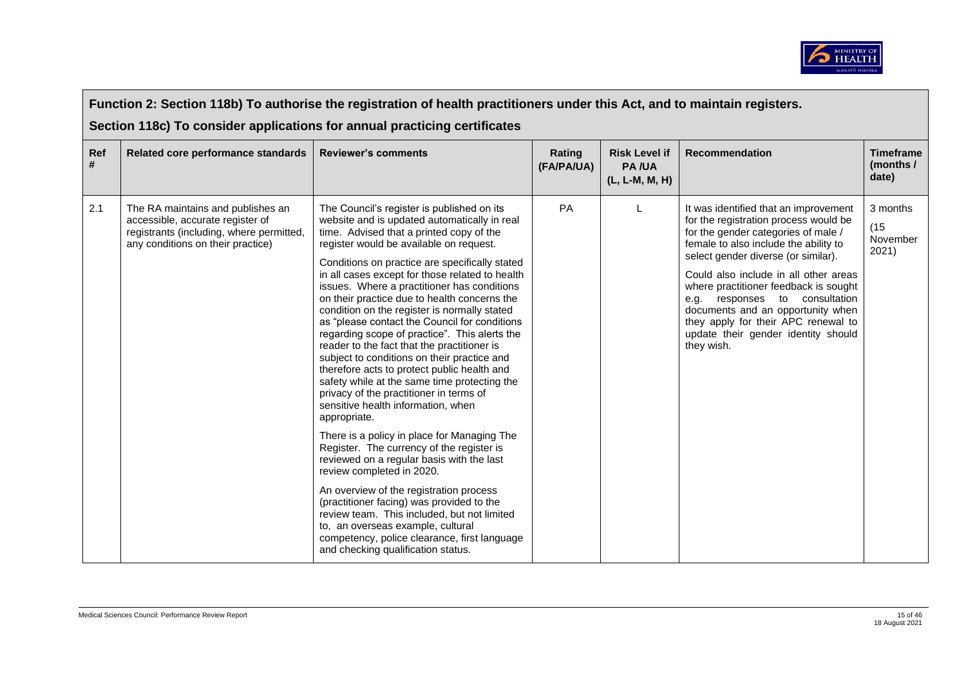

|          | Function 2: Section 118b) To authorise the registration of health practitioners under this Act, and to maintain registers.<br>Section 118c) To consider applications for annual practicing certificates |                                                                                                                                                                                                                                                                                                                                                                                                                                                                                                                                                                                                                                                                                                                                                                                                                                                                                                                                                                                                                                                                                                                                                                                                                                                                               |                      |                                                        |                                                                                                                                                                                                                                                                                                                                                                                                                                                            |                                        |  |  |  |
|----------|---------------------------------------------------------------------------------------------------------------------------------------------------------------------------------------------------------|-------------------------------------------------------------------------------------------------------------------------------------------------------------------------------------------------------------------------------------------------------------------------------------------------------------------------------------------------------------------------------------------------------------------------------------------------------------------------------------------------------------------------------------------------------------------------------------------------------------------------------------------------------------------------------------------------------------------------------------------------------------------------------------------------------------------------------------------------------------------------------------------------------------------------------------------------------------------------------------------------------------------------------------------------------------------------------------------------------------------------------------------------------------------------------------------------------------------------------------------------------------------------------|----------------------|--------------------------------------------------------|------------------------------------------------------------------------------------------------------------------------------------------------------------------------------------------------------------------------------------------------------------------------------------------------------------------------------------------------------------------------------------------------------------------------------------------------------------|----------------------------------------|--|--|--|
| Ref<br># | Related core performance standards                                                                                                                                                                      | <b>Reviewer's comments</b>                                                                                                                                                                                                                                                                                                                                                                                                                                                                                                                                                                                                                                                                                                                                                                                                                                                                                                                                                                                                                                                                                                                                                                                                                                                    | Rating<br>(FA/PA/UA) | <b>Risk Level if</b><br><b>PA/UA</b><br>(L, L-M, M, H) | <b>Recommendation</b>                                                                                                                                                                                                                                                                                                                                                                                                                                      | <b>Timeframe</b><br>(months /<br>date) |  |  |  |
| 2.1      | The RA maintains and publishes an<br>accessible, accurate register of<br>registrants (including, where permitted,<br>any conditions on their practice)                                                  | The Council's register is published on its<br>website and is updated automatically in real<br>time. Advised that a printed copy of the<br>register would be available on request.<br>Conditions on practice are specifically stated<br>in all cases except for those related to health<br>issues. Where a practitioner has conditions<br>on their practice due to health concerns the<br>condition on the register is normally stated<br>as "please contact the Council for conditions<br>regarding scope of practice". This alerts the<br>reader to the fact that the practitioner is<br>subject to conditions on their practice and<br>therefore acts to protect public health and<br>safety while at the same time protecting the<br>privacy of the practitioner in terms of<br>sensitive health information, when<br>appropriate.<br>There is a policy in place for Managing The<br>Register. The currency of the register is<br>reviewed on a regular basis with the last<br>review completed in 2020.<br>An overview of the registration process<br>(practitioner facing) was provided to the<br>review team. This included, but not limited<br>to, an overseas example, cultural<br>competency, police clearance, first language<br>and checking qualification status. | PA                   |                                                        | It was identified that an improvement<br>for the registration process would be<br>for the gender categories of male /<br>female to also include the ability to<br>select gender diverse (or similar).<br>Could also include in all other areas<br>where practitioner feedback is sought<br>e.g. responses to consultation<br>documents and an opportunity when<br>they apply for their APC renewal to<br>update their gender identity should<br>they wish. | 3 months<br>(15)<br>November<br>2021)  |  |  |  |

 $\blacksquare$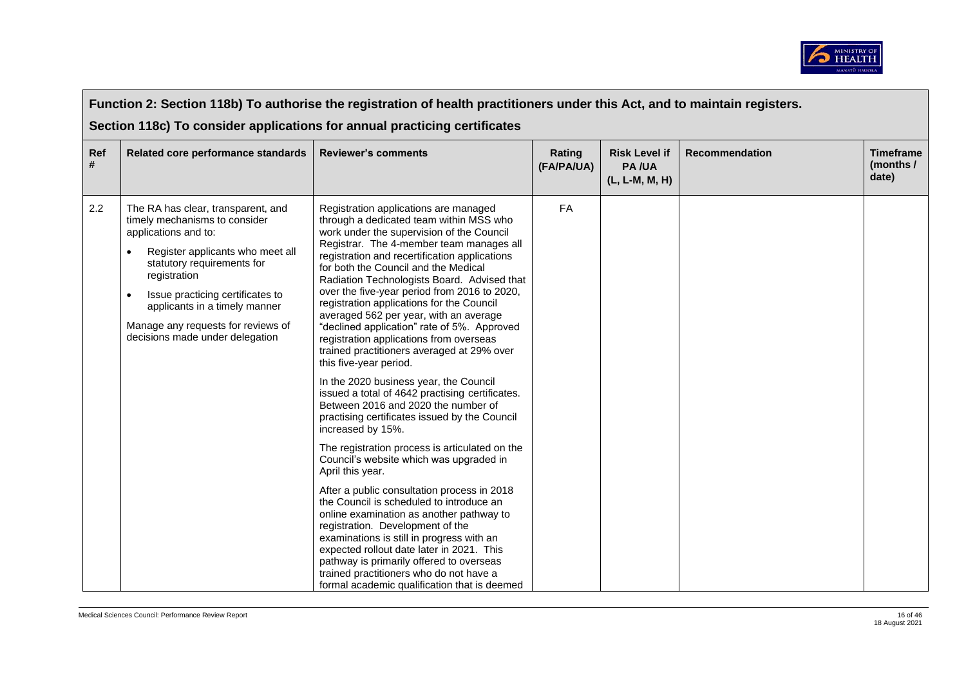

|          | Function 2: Section 118b) To authorise the registration of health practitioners under this Act, and to maintain registers.                                                                                                                                                                                                  |                                                                                                                                                                                                                                                                                                                                                                                                                                                                                                                                                                                                                                                                                                                                                                                                                                                                                                                                                                                                                                                                                                                                                                                                                                                                                                                                                                   |                      |                                                        |                       |                                        |  |  |  |
|----------|-----------------------------------------------------------------------------------------------------------------------------------------------------------------------------------------------------------------------------------------------------------------------------------------------------------------------------|-------------------------------------------------------------------------------------------------------------------------------------------------------------------------------------------------------------------------------------------------------------------------------------------------------------------------------------------------------------------------------------------------------------------------------------------------------------------------------------------------------------------------------------------------------------------------------------------------------------------------------------------------------------------------------------------------------------------------------------------------------------------------------------------------------------------------------------------------------------------------------------------------------------------------------------------------------------------------------------------------------------------------------------------------------------------------------------------------------------------------------------------------------------------------------------------------------------------------------------------------------------------------------------------------------------------------------------------------------------------|----------------------|--------------------------------------------------------|-----------------------|----------------------------------------|--|--|--|
|          | Section 118c) To consider applications for annual practicing certificates                                                                                                                                                                                                                                                   |                                                                                                                                                                                                                                                                                                                                                                                                                                                                                                                                                                                                                                                                                                                                                                                                                                                                                                                                                                                                                                                                                                                                                                                                                                                                                                                                                                   |                      |                                                        |                       |                                        |  |  |  |
| Ref<br># | Related core performance standards                                                                                                                                                                                                                                                                                          | <b>Reviewer's comments</b>                                                                                                                                                                                                                                                                                                                                                                                                                                                                                                                                                                                                                                                                                                                                                                                                                                                                                                                                                                                                                                                                                                                                                                                                                                                                                                                                        | Rating<br>(FA/PA/UA) | <b>Risk Level if</b><br><b>PA/UA</b><br>(L, L-M, M, H) | <b>Recommendation</b> | <b>Timeframe</b><br>(months /<br>date) |  |  |  |
| 2.2      | The RA has clear, transparent, and<br>timely mechanisms to consider<br>applications and to:<br>Register applicants who meet all<br>statutory requirements for<br>registration<br>Issue practicing certificates to<br>applicants in a timely manner<br>Manage any requests for reviews of<br>decisions made under delegation | Registration applications are managed<br>through a dedicated team within MSS who<br>work under the supervision of the Council<br>Registrar. The 4-member team manages all<br>registration and recertification applications<br>for both the Council and the Medical<br>Radiation Technologists Board. Advised that<br>over the five-year period from 2016 to 2020,<br>registration applications for the Council<br>averaged 562 per year, with an average<br>"declined application" rate of 5%. Approved<br>registration applications from overseas<br>trained practitioners averaged at 29% over<br>this five-year period.<br>In the 2020 business year, the Council<br>issued a total of 4642 practising certificates.<br>Between 2016 and 2020 the number of<br>practising certificates issued by the Council<br>increased by 15%.<br>The registration process is articulated on the<br>Council's website which was upgraded in<br>April this year.<br>After a public consultation process in 2018<br>the Council is scheduled to introduce an<br>online examination as another pathway to<br>registration. Development of the<br>examinations is still in progress with an<br>expected rollout date later in 2021. This<br>pathway is primarily offered to overseas<br>trained practitioners who do not have a<br>formal academic qualification that is deemed | <b>FA</b>            |                                                        |                       |                                        |  |  |  |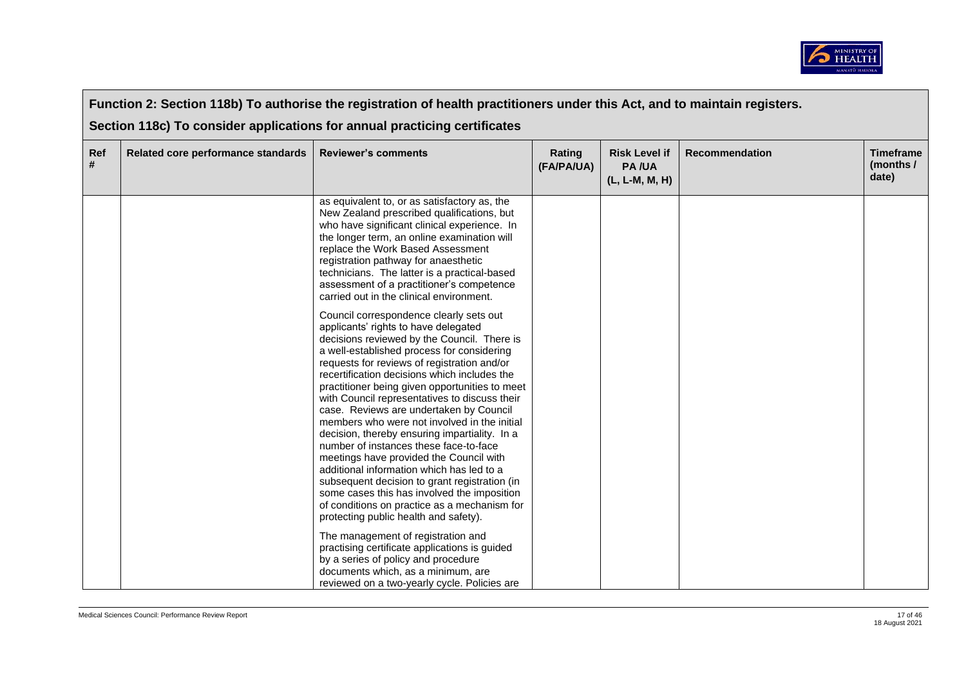

|          | Function 2: Section 118b) To authorise the registration of health practitioners under this Act, and to maintain registers.<br>Section 118c) To consider applications for annual practicing certificates |                                                                                                                                                                                                                                                                                                                                                                                                                                                                                                                                                                                                                                                                                                                                                                                                                                                                                                                                                                                                                                                                                                                                                                                                                                                                                                                                                                                                                                                                                              |                      |                                                        |                |                                        |  |  |
|----------|---------------------------------------------------------------------------------------------------------------------------------------------------------------------------------------------------------|----------------------------------------------------------------------------------------------------------------------------------------------------------------------------------------------------------------------------------------------------------------------------------------------------------------------------------------------------------------------------------------------------------------------------------------------------------------------------------------------------------------------------------------------------------------------------------------------------------------------------------------------------------------------------------------------------------------------------------------------------------------------------------------------------------------------------------------------------------------------------------------------------------------------------------------------------------------------------------------------------------------------------------------------------------------------------------------------------------------------------------------------------------------------------------------------------------------------------------------------------------------------------------------------------------------------------------------------------------------------------------------------------------------------------------------------------------------------------------------------|----------------------|--------------------------------------------------------|----------------|----------------------------------------|--|--|
| Ref<br># | Related core performance standards                                                                                                                                                                      | <b>Reviewer's comments</b>                                                                                                                                                                                                                                                                                                                                                                                                                                                                                                                                                                                                                                                                                                                                                                                                                                                                                                                                                                                                                                                                                                                                                                                                                                                                                                                                                                                                                                                                   | Rating<br>(FA/PA/UA) | <b>Risk Level if</b><br><b>PA/UA</b><br>(L, L-M, M, H) | Recommendation | <b>Timeframe</b><br>(months /<br>date) |  |  |
|          |                                                                                                                                                                                                         | as equivalent to, or as satisfactory as, the<br>New Zealand prescribed qualifications, but<br>who have significant clinical experience. In<br>the longer term, an online examination will<br>replace the Work Based Assessment<br>registration pathway for anaesthetic<br>technicians. The latter is a practical-based<br>assessment of a practitioner's competence<br>carried out in the clinical environment.<br>Council correspondence clearly sets out<br>applicants' rights to have delegated<br>decisions reviewed by the Council. There is<br>a well-established process for considering<br>requests for reviews of registration and/or<br>recertification decisions which includes the<br>practitioner being given opportunities to meet<br>with Council representatives to discuss their<br>case. Reviews are undertaken by Council<br>members who were not involved in the initial<br>decision, thereby ensuring impartiality. In a<br>number of instances these face-to-face<br>meetings have provided the Council with<br>additional information which has led to a<br>subsequent decision to grant registration (in<br>some cases this has involved the imposition<br>of conditions on practice as a mechanism for<br>protecting public health and safety).<br>The management of registration and<br>practising certificate applications is guided<br>by a series of policy and procedure<br>documents which, as a minimum, are<br>reviewed on a two-yearly cycle. Policies are |                      |                                                        |                |                                        |  |  |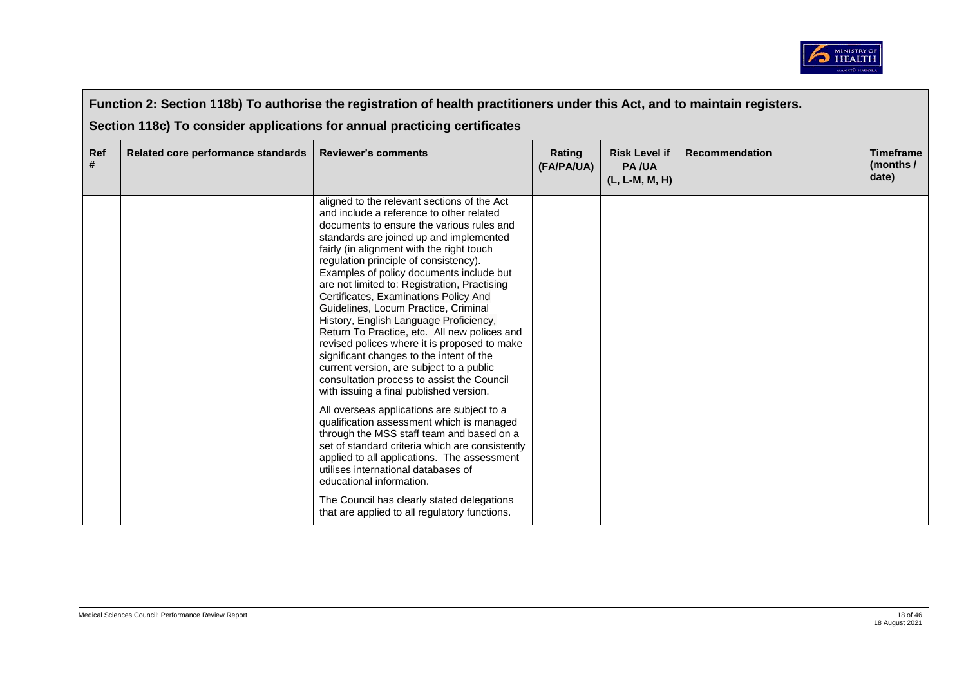

|          | Function 2: Section 118b) To authorise the registration of health practitioners under this Act, and to maintain registers. |                                                                                                                                                                                                                                                                                                                                                                                                                                                                                                                                                                                                                                                                                                                                                                                                                                                                                                                                                                                                                                                                                                                                                                                           |                      |                                                        |                       |                                        |  |  |  |
|----------|----------------------------------------------------------------------------------------------------------------------------|-------------------------------------------------------------------------------------------------------------------------------------------------------------------------------------------------------------------------------------------------------------------------------------------------------------------------------------------------------------------------------------------------------------------------------------------------------------------------------------------------------------------------------------------------------------------------------------------------------------------------------------------------------------------------------------------------------------------------------------------------------------------------------------------------------------------------------------------------------------------------------------------------------------------------------------------------------------------------------------------------------------------------------------------------------------------------------------------------------------------------------------------------------------------------------------------|----------------------|--------------------------------------------------------|-----------------------|----------------------------------------|--|--|--|
|          | Section 118c) To consider applications for annual practicing certificates                                                  |                                                                                                                                                                                                                                                                                                                                                                                                                                                                                                                                                                                                                                                                                                                                                                                                                                                                                                                                                                                                                                                                                                                                                                                           |                      |                                                        |                       |                                        |  |  |  |
| Ref<br># | Related core performance standards                                                                                         | <b>Reviewer's comments</b>                                                                                                                                                                                                                                                                                                                                                                                                                                                                                                                                                                                                                                                                                                                                                                                                                                                                                                                                                                                                                                                                                                                                                                | Rating<br>(FA/PA/UA) | <b>Risk Level if</b><br><b>PA/UA</b><br>(L, L-M, M, H) | <b>Recommendation</b> | <b>Timeframe</b><br>(months /<br>date) |  |  |  |
|          |                                                                                                                            | aligned to the relevant sections of the Act<br>and include a reference to other related<br>documents to ensure the various rules and<br>standards are joined up and implemented<br>fairly (in alignment with the right touch<br>regulation principle of consistency).<br>Examples of policy documents include but<br>are not limited to: Registration, Practising<br>Certificates, Examinations Policy And<br>Guidelines, Locum Practice, Criminal<br>History, English Language Proficiency,<br>Return To Practice, etc. All new polices and<br>revised polices where it is proposed to make<br>significant changes to the intent of the<br>current version, are subject to a public<br>consultation process to assist the Council<br>with issuing a final published version.<br>All overseas applications are subject to a<br>qualification assessment which is managed<br>through the MSS staff team and based on a<br>set of standard criteria which are consistently<br>applied to all applications. The assessment<br>utilises international databases of<br>educational information.<br>The Council has clearly stated delegations<br>that are applied to all regulatory functions. |                      |                                                        |                       |                                        |  |  |  |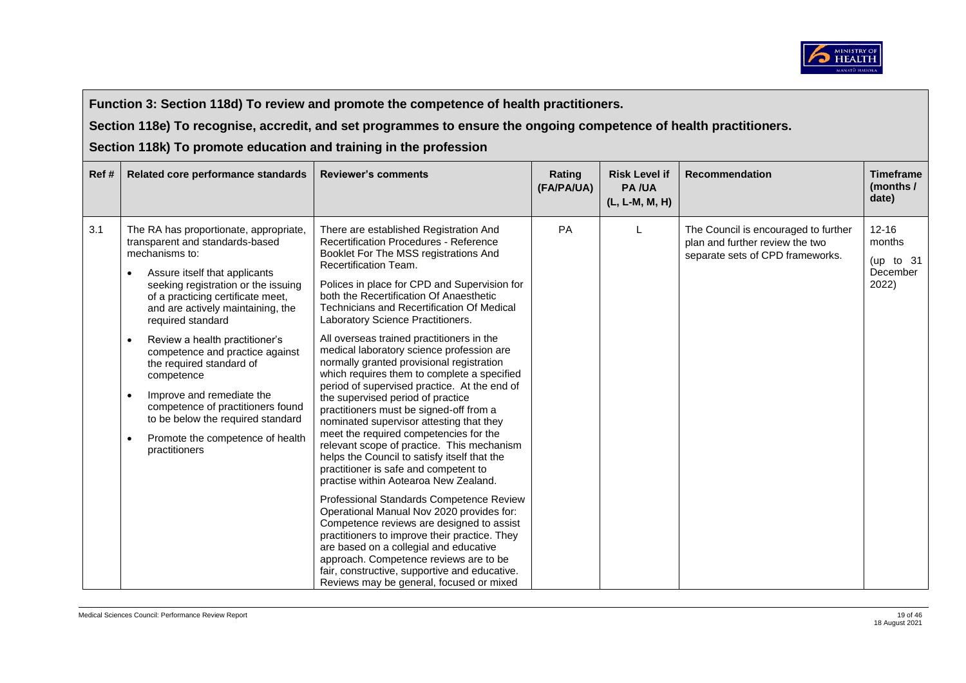

**Function 3: Section 118d) To review and promote the competence of health practitioners.** 

**Section 118e) To recognise, accredit, and set programmes to ensure the ongoing competence of health practitioners.** 

**Section 118k) To promote education and training in the profession**

| Ref# | Related core performance standards                                                                                                                                                                                                                                                                                                                                                                                                                                                                                                            | <b>Reviewer's comments</b>                                                                                                                                                                                                                                                                                                                                                                                                                                                                                                                                                                                                                                                                                                                                                                                                                                                                                                                                                                                                                                                                                                                                                                                                                                                                                         | Rating<br>(FA/PA/UA) | <b>Risk Level if</b><br><b>PA/UA</b><br>(L, L-M, M, H) | <b>Recommendation</b>                                                                                       | <b>Timeframe</b><br>(months /<br>date)                  |
|------|-----------------------------------------------------------------------------------------------------------------------------------------------------------------------------------------------------------------------------------------------------------------------------------------------------------------------------------------------------------------------------------------------------------------------------------------------------------------------------------------------------------------------------------------------|--------------------------------------------------------------------------------------------------------------------------------------------------------------------------------------------------------------------------------------------------------------------------------------------------------------------------------------------------------------------------------------------------------------------------------------------------------------------------------------------------------------------------------------------------------------------------------------------------------------------------------------------------------------------------------------------------------------------------------------------------------------------------------------------------------------------------------------------------------------------------------------------------------------------------------------------------------------------------------------------------------------------------------------------------------------------------------------------------------------------------------------------------------------------------------------------------------------------------------------------------------------------------------------------------------------------|----------------------|--------------------------------------------------------|-------------------------------------------------------------------------------------------------------------|---------------------------------------------------------|
| 3.1  | The RA has proportionate, appropriate,<br>transparent and standards-based<br>mechanisms to:<br>Assure itself that applicants<br>seeking registration or the issuing<br>of a practicing certificate meet,<br>and are actively maintaining, the<br>required standard<br>Review a health practitioner's<br>competence and practice against<br>the required standard of<br>competence<br>Improve and remediate the<br>competence of practitioners found<br>to be below the required standard<br>Promote the competence of health<br>practitioners | There are established Registration And<br><b>Recertification Procedures - Reference</b><br>Booklet For The MSS registrations And<br>Recertification Team.<br>Polices in place for CPD and Supervision for<br>both the Recertification Of Anaesthetic<br><b>Technicians and Recertification Of Medical</b><br>Laboratory Science Practitioners.<br>All overseas trained practitioners in the<br>medical laboratory science profession are<br>normally granted provisional registration<br>which requires them to complete a specified<br>period of supervised practice. At the end of<br>the supervised period of practice<br>practitioners must be signed-off from a<br>nominated supervisor attesting that they<br>meet the required competencies for the<br>relevant scope of practice. This mechanism<br>helps the Council to satisfy itself that the<br>practitioner is safe and competent to<br>practise within Aotearoa New Zealand.<br>Professional Standards Competence Review<br>Operational Manual Nov 2020 provides for:<br>Competence reviews are designed to assist<br>practitioners to improve their practice. They<br>are based on a collegial and educative<br>approach. Competence reviews are to be<br>fair, constructive, supportive and educative.<br>Reviews may be general, focused or mixed | PA                   |                                                        | The Council is encouraged to further<br>plan and further review the two<br>separate sets of CPD frameworks. | $12 - 16$<br>months<br>(up to $31$<br>December<br>2022) |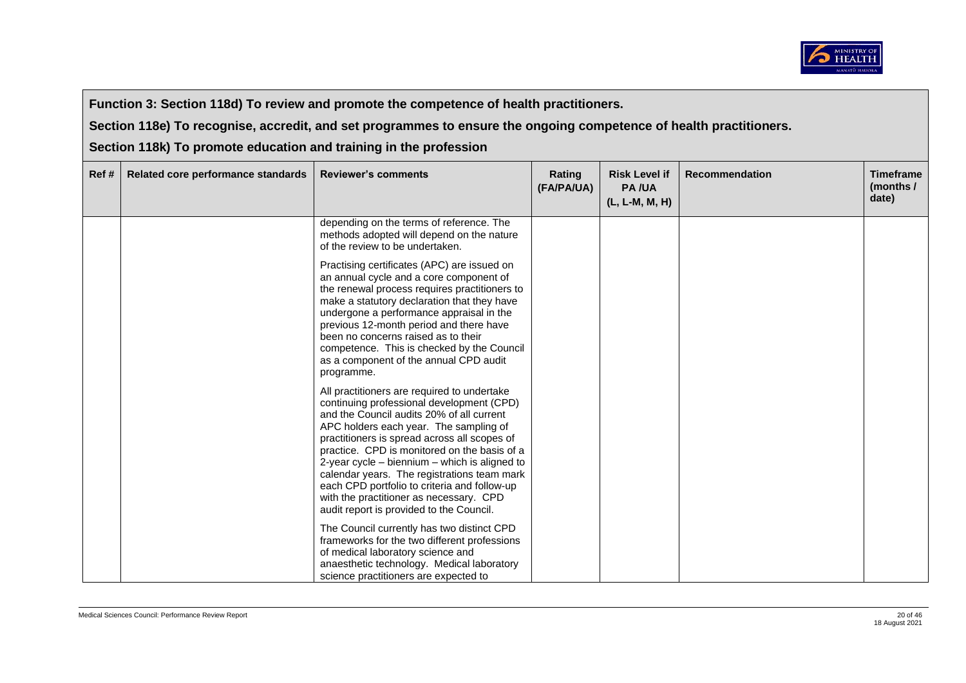

**Function 3: Section 118d) To review and promote the competence of health practitioners.** 

**Section 118e) To recognise, accredit, and set programmes to ensure the ongoing competence of health practitioners.** 

**Section 118k) To promote education and training in the profession**

| Ref# | Related core performance standards | <b>Reviewer's comments</b>                                                                                                                                                                                                                                                                                                                                                                                                                                                                                                 | Rating<br>(FA/PA/UA) | <b>Risk Level if</b><br><b>PA/UA</b><br>(L, L-M, M, H) | <b>Recommendation</b> | <b>Timeframe</b><br>(months /<br>date) |
|------|------------------------------------|----------------------------------------------------------------------------------------------------------------------------------------------------------------------------------------------------------------------------------------------------------------------------------------------------------------------------------------------------------------------------------------------------------------------------------------------------------------------------------------------------------------------------|----------------------|--------------------------------------------------------|-----------------------|----------------------------------------|
|      |                                    | depending on the terms of reference. The<br>methods adopted will depend on the nature<br>of the review to be undertaken.                                                                                                                                                                                                                                                                                                                                                                                                   |                      |                                                        |                       |                                        |
|      |                                    | Practising certificates (APC) are issued on<br>an annual cycle and a core component of<br>the renewal process requires practitioners to<br>make a statutory declaration that they have<br>undergone a performance appraisal in the<br>previous 12-month period and there have<br>been no concerns raised as to their<br>competence. This is checked by the Council<br>as a component of the annual CPD audit<br>programme.                                                                                                 |                      |                                                        |                       |                                        |
|      |                                    | All practitioners are required to undertake<br>continuing professional development (CPD)<br>and the Council audits 20% of all current<br>APC holders each year. The sampling of<br>practitioners is spread across all scopes of<br>practice. CPD is monitored on the basis of a<br>2-year cycle $-$ biennium $-$ which is aligned to<br>calendar years. The registrations team mark<br>each CPD portfolio to criteria and follow-up<br>with the practitioner as necessary. CPD<br>audit report is provided to the Council. |                      |                                                        |                       |                                        |
|      |                                    | The Council currently has two distinct CPD<br>frameworks for the two different professions<br>of medical laboratory science and<br>anaesthetic technology. Medical laboratory<br>science practitioners are expected to                                                                                                                                                                                                                                                                                                     |                      |                                                        |                       |                                        |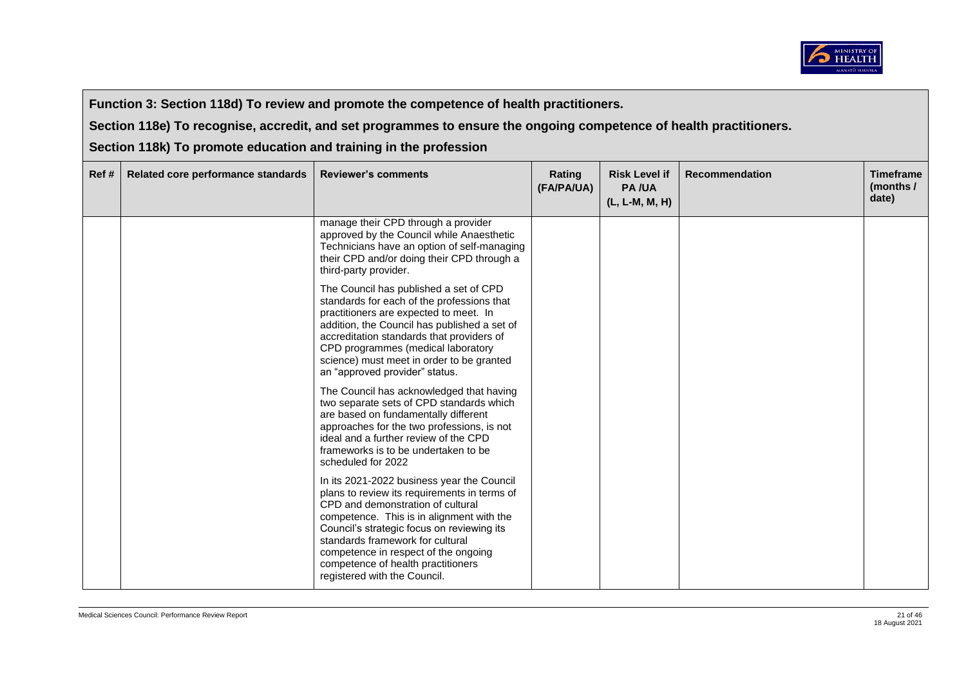

**Function 3: Section 118d) To review and promote the competence of health practitioners.** 

**Section 118e) To recognise, accredit, and set programmes to ensure the ongoing competence of health practitioners.** 

**Section 118k) To promote education and training in the profession**

| Ref# | Related core performance standards | <b>Reviewer's comments</b>                                                                                                                                                                                                                                                                                                                                                   | Rating<br>(FA/PA/UA) | <b>Risk Level if</b><br><b>PA/UA</b><br>(L, L-M, M, H) | <b>Recommendation</b> | <b>Timeframe</b><br>(months /<br>date) |
|------|------------------------------------|------------------------------------------------------------------------------------------------------------------------------------------------------------------------------------------------------------------------------------------------------------------------------------------------------------------------------------------------------------------------------|----------------------|--------------------------------------------------------|-----------------------|----------------------------------------|
|      |                                    | manage their CPD through a provider<br>approved by the Council while Anaesthetic<br>Technicians have an option of self-managing<br>their CPD and/or doing their CPD through a<br>third-party provider.                                                                                                                                                                       |                      |                                                        |                       |                                        |
|      |                                    | The Council has published a set of CPD<br>standards for each of the professions that<br>practitioners are expected to meet. In<br>addition, the Council has published a set of<br>accreditation standards that providers of<br>CPD programmes (medical laboratory<br>science) must meet in order to be granted<br>an "approved provider" status.                             |                      |                                                        |                       |                                        |
|      |                                    | The Council has acknowledged that having<br>two separate sets of CPD standards which<br>are based on fundamentally different<br>approaches for the two professions, is not<br>ideal and a further review of the CPD<br>frameworks is to be undertaken to be<br>scheduled for 2022                                                                                            |                      |                                                        |                       |                                        |
|      |                                    | In its 2021-2022 business year the Council<br>plans to review its requirements in terms of<br>CPD and demonstration of cultural<br>competence. This is in alignment with the<br>Council's strategic focus on reviewing its<br>standards framework for cultural<br>competence in respect of the ongoing<br>competence of health practitioners<br>registered with the Council. |                      |                                                        |                       |                                        |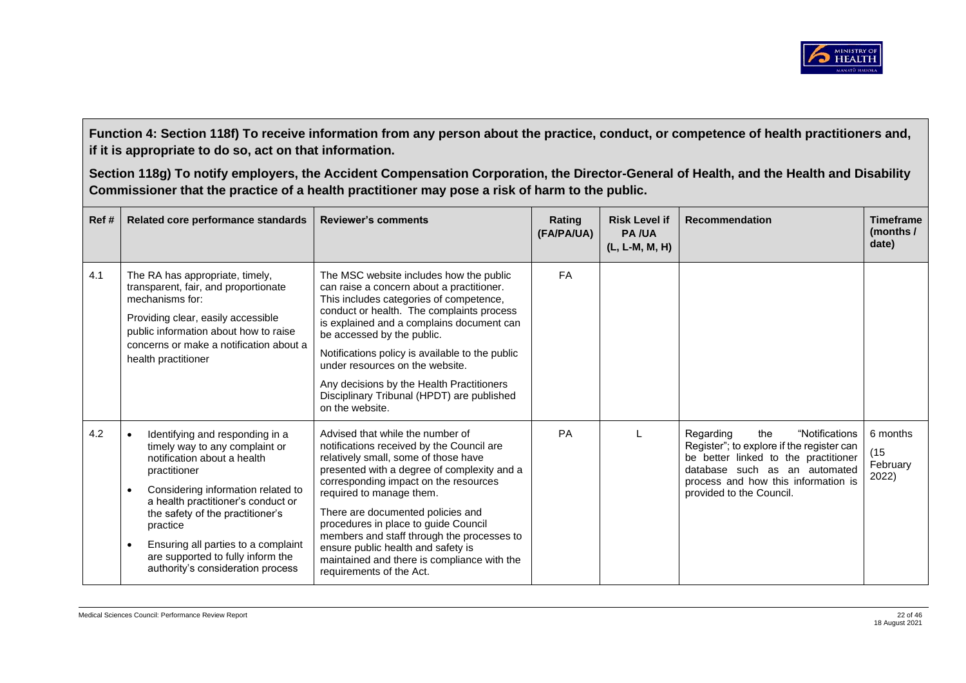

| Ref# | Related core performance standards                                                                                                                                                                                                                                                                                                                                         | <b>Reviewer's comments</b>                                                                                                                                                                                                                                                                                                                                                                                                                                                            | Rating<br>(FA/PA/UA) | <b>Risk Level if</b><br><b>PA/UA</b><br>(L, L-M, M, H) | <b>Recommendation</b>                                                                                                                                                                                                       | <b>Timeframe</b><br>(months/<br>date) |
|------|----------------------------------------------------------------------------------------------------------------------------------------------------------------------------------------------------------------------------------------------------------------------------------------------------------------------------------------------------------------------------|---------------------------------------------------------------------------------------------------------------------------------------------------------------------------------------------------------------------------------------------------------------------------------------------------------------------------------------------------------------------------------------------------------------------------------------------------------------------------------------|----------------------|--------------------------------------------------------|-----------------------------------------------------------------------------------------------------------------------------------------------------------------------------------------------------------------------------|---------------------------------------|
| 4.1  | The RA has appropriate, timely,<br>transparent, fair, and proportionate<br>mechanisms for:<br>Providing clear, easily accessible<br>public information about how to raise<br>concerns or make a notification about a<br>health practitioner                                                                                                                                | The MSC website includes how the public<br>can raise a concern about a practitioner.<br>This includes categories of competence,<br>conduct or health. The complaints process<br>is explained and a complains document can<br>be accessed by the public.<br>Notifications policy is available to the public<br>under resources on the website.<br>Any decisions by the Health Practitioners<br>Disciplinary Tribunal (HPDT) are published<br>on the website.                           | <b>FA</b>            |                                                        |                                                                                                                                                                                                                             |                                       |
| 4.2  | Identifying and responding in a<br>$\bullet$<br>timely way to any complaint or<br>notification about a health<br>practitioner<br>Considering information related to<br>a health practitioner's conduct or<br>the safety of the practitioner's<br>practice<br>Ensuring all parties to a complaint<br>are supported to fully inform the<br>authority's consideration process | Advised that while the number of<br>notifications received by the Council are<br>relatively small, some of those have<br>presented with a degree of complexity and a<br>corresponding impact on the resources<br>required to manage them.<br>There are documented policies and<br>procedures in place to guide Council<br>members and staff through the processes to<br>ensure public health and safety is<br>maintained and there is compliance with the<br>requirements of the Act. | PA                   |                                                        | "Notifications<br>Regarding<br>the<br>Register"; to explore if the register can<br>be better linked to the practitioner<br>database such as an automated<br>process and how this information is<br>provided to the Council. | 6 months<br>(15)<br>February<br>2022) |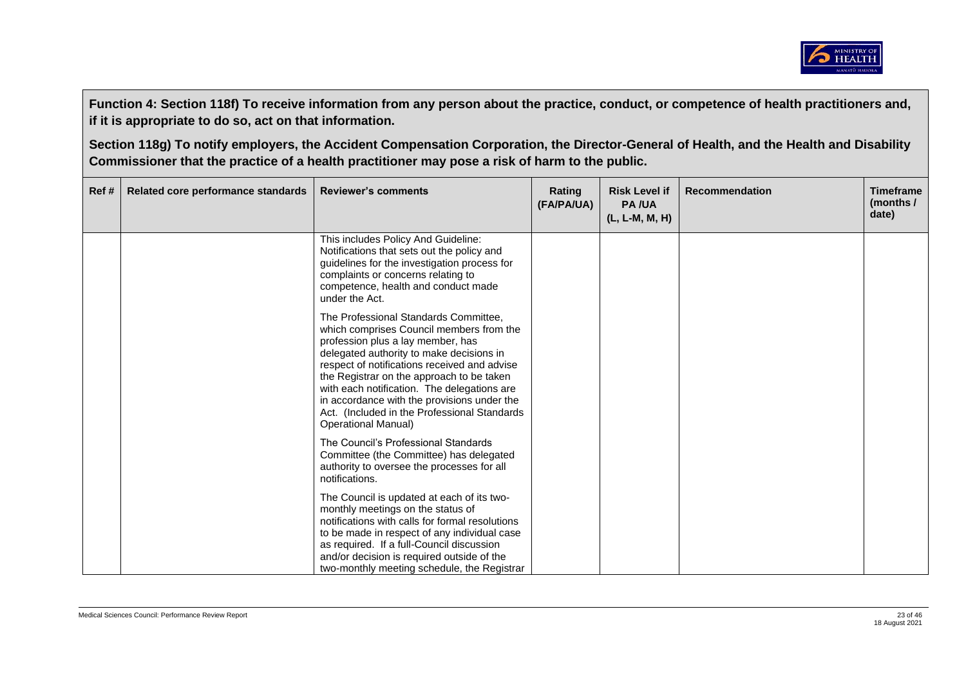

| Ref # | Related core performance standards | <b>Reviewer's comments</b>                                                                                                                                                                                                                                                                                                                                                                                                                   | Rating<br>(FA/PA/UA) | <b>Risk Level if</b><br><b>PA/UA</b><br>(L, L-M, M, H) | <b>Recommendation</b> | <b>Timeframe</b><br>(months $/$<br>date) |
|-------|------------------------------------|----------------------------------------------------------------------------------------------------------------------------------------------------------------------------------------------------------------------------------------------------------------------------------------------------------------------------------------------------------------------------------------------------------------------------------------------|----------------------|--------------------------------------------------------|-----------------------|------------------------------------------|
|       |                                    | This includes Policy And Guideline:<br>Notifications that sets out the policy and<br>guidelines for the investigation process for<br>complaints or concerns relating to<br>competence, health and conduct made<br>under the Act.                                                                                                                                                                                                             |                      |                                                        |                       |                                          |
|       |                                    | The Professional Standards Committee,<br>which comprises Council members from the<br>profession plus a lay member, has<br>delegated authority to make decisions in<br>respect of notifications received and advise<br>the Registrar on the approach to be taken<br>with each notification. The delegations are<br>in accordance with the provisions under the<br>Act. (Included in the Professional Standards)<br><b>Operational Manual)</b> |                      |                                                        |                       |                                          |
|       |                                    | The Council's Professional Standards<br>Committee (the Committee) has delegated<br>authority to oversee the processes for all<br>notifications.                                                                                                                                                                                                                                                                                              |                      |                                                        |                       |                                          |
|       |                                    | The Council is updated at each of its two-<br>monthly meetings on the status of<br>notifications with calls for formal resolutions<br>to be made in respect of any individual case<br>as required. If a full-Council discussion<br>and/or decision is required outside of the<br>two-monthly meeting schedule, the Registrar                                                                                                                 |                      |                                                        |                       |                                          |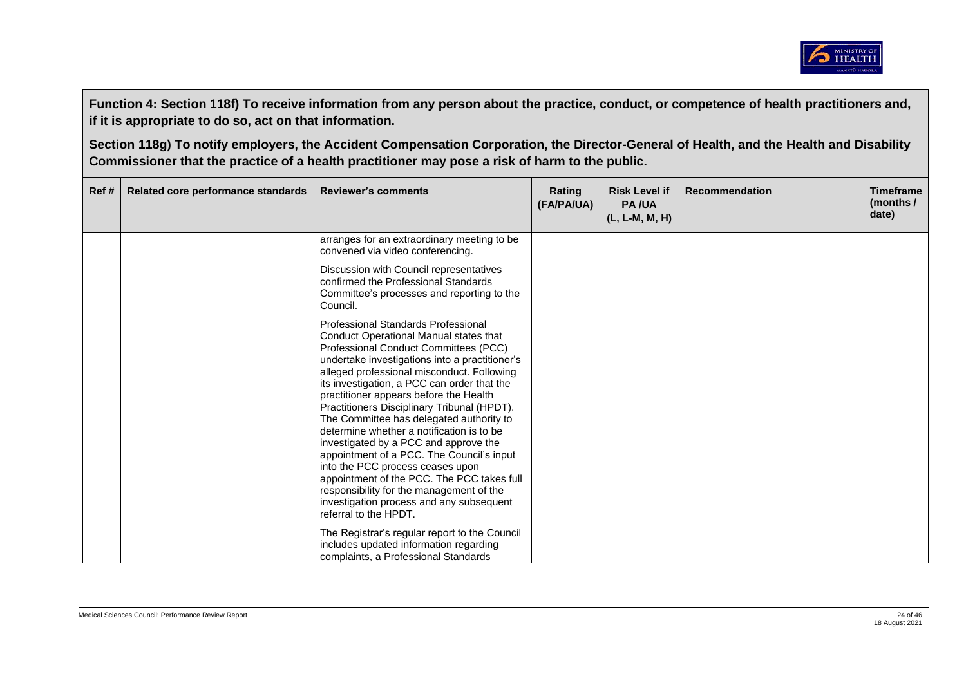

| Ref # | Related core performance standards | <b>Reviewer's comments</b>                                                                                                                                                                                                                                                                                                                                                                                                                                                                                                                                                                                                                                                                                                                       | Rating<br>(FA/PA/UA) | <b>Risk Level if</b><br><b>PA/UA</b><br>(L, L-M, M, H) | <b>Recommendation</b> | <b>Timeframe</b><br>(months $/$<br>date) |
|-------|------------------------------------|--------------------------------------------------------------------------------------------------------------------------------------------------------------------------------------------------------------------------------------------------------------------------------------------------------------------------------------------------------------------------------------------------------------------------------------------------------------------------------------------------------------------------------------------------------------------------------------------------------------------------------------------------------------------------------------------------------------------------------------------------|----------------------|--------------------------------------------------------|-----------------------|------------------------------------------|
|       |                                    | arranges for an extraordinary meeting to be<br>convened via video conferencing.                                                                                                                                                                                                                                                                                                                                                                                                                                                                                                                                                                                                                                                                  |                      |                                                        |                       |                                          |
|       |                                    | Discussion with Council representatives<br>confirmed the Professional Standards<br>Committee's processes and reporting to the<br>Council.                                                                                                                                                                                                                                                                                                                                                                                                                                                                                                                                                                                                        |                      |                                                        |                       |                                          |
|       |                                    | Professional Standards Professional<br>Conduct Operational Manual states that<br>Professional Conduct Committees (PCC)<br>undertake investigations into a practitioner's<br>alleged professional misconduct. Following<br>its investigation, a PCC can order that the<br>practitioner appears before the Health<br>Practitioners Disciplinary Tribunal (HPDT).<br>The Committee has delegated authority to<br>determine whether a notification is to be<br>investigated by a PCC and approve the<br>appointment of a PCC. The Council's input<br>into the PCC process ceases upon<br>appointment of the PCC. The PCC takes full<br>responsibility for the management of the<br>investigation process and any subsequent<br>referral to the HPDT. |                      |                                                        |                       |                                          |
|       |                                    | The Registrar's regular report to the Council<br>includes updated information regarding<br>complaints, a Professional Standards                                                                                                                                                                                                                                                                                                                                                                                                                                                                                                                                                                                                                  |                      |                                                        |                       |                                          |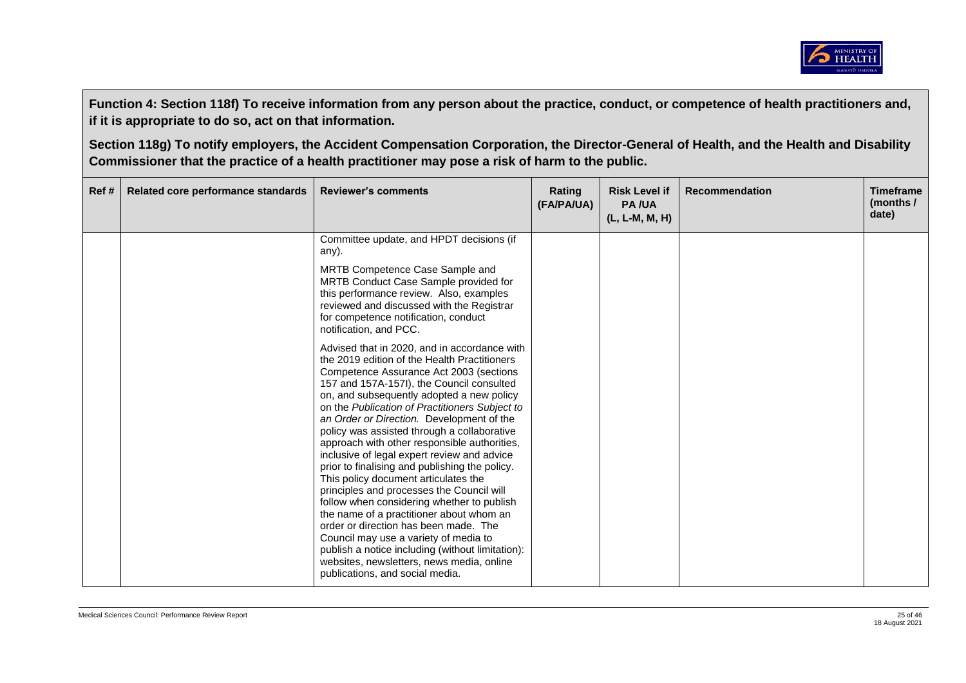

| Ref# | Related core performance standards | <b>Reviewer's comments</b>                                                                                                                                                                                                                                                                                                                                                                                                                                                                                                                                                                                                                                                                                                                                                                                                                                                                                                                                                                                                                                                                                                                                                                                                       | Rating<br>(FA/PA/UA) | <b>Risk Level if</b><br><b>PA/UA</b><br>(L, L-M, M, H) | <b>Recommendation</b> | <b>Timeframe</b><br>(months $/$<br>date) |
|------|------------------------------------|----------------------------------------------------------------------------------------------------------------------------------------------------------------------------------------------------------------------------------------------------------------------------------------------------------------------------------------------------------------------------------------------------------------------------------------------------------------------------------------------------------------------------------------------------------------------------------------------------------------------------------------------------------------------------------------------------------------------------------------------------------------------------------------------------------------------------------------------------------------------------------------------------------------------------------------------------------------------------------------------------------------------------------------------------------------------------------------------------------------------------------------------------------------------------------------------------------------------------------|----------------------|--------------------------------------------------------|-----------------------|------------------------------------------|
|      |                                    | Committee update, and HPDT decisions (if<br>any).<br>MRTB Competence Case Sample and<br>MRTB Conduct Case Sample provided for<br>this performance review. Also, examples<br>reviewed and discussed with the Registrar<br>for competence notification, conduct<br>notification, and PCC.<br>Advised that in 2020, and in accordance with<br>the 2019 edition of the Health Practitioners<br>Competence Assurance Act 2003 (sections<br>157 and 157A-157I), the Council consulted<br>on, and subsequently adopted a new policy<br>on the Publication of Practitioners Subject to<br>an Order or Direction. Development of the<br>policy was assisted through a collaborative<br>approach with other responsible authorities,<br>inclusive of legal expert review and advice<br>prior to finalising and publishing the policy.<br>This policy document articulates the<br>principles and processes the Council will<br>follow when considering whether to publish<br>the name of a practitioner about whom an<br>order or direction has been made. The<br>Council may use a variety of media to<br>publish a notice including (without limitation):<br>websites, newsletters, news media, online<br>publications, and social media. |                      |                                                        |                       |                                          |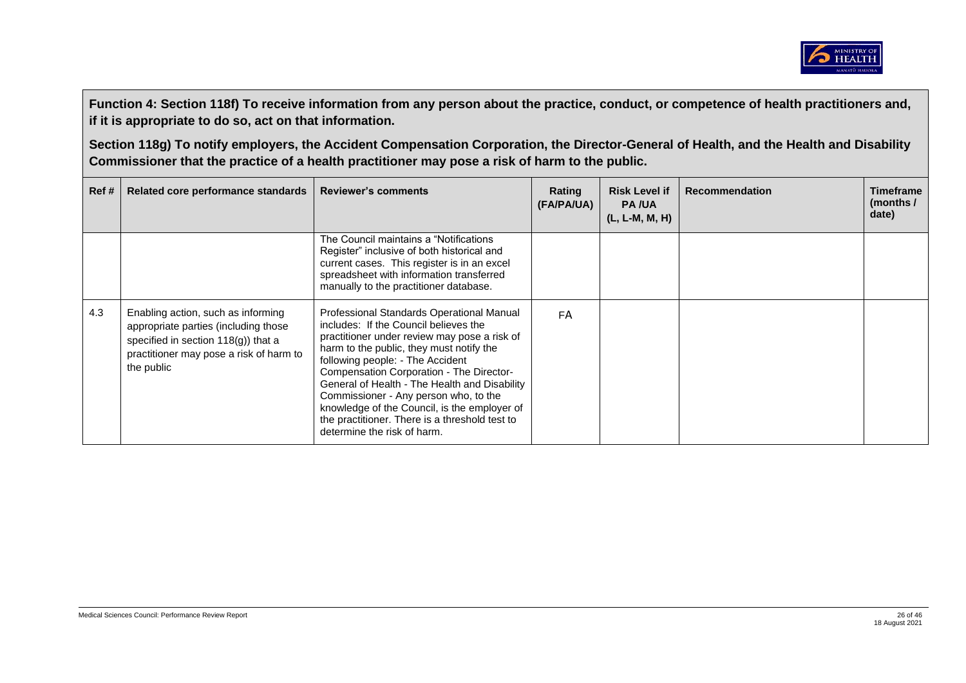

| Ref # | Related core performance standards                                                                                                                                            | <b>Reviewer's comments</b>                                                                                                                                                                                                                                                                                                                                                                                                                                                                | Rating<br>(FA/PA/UA) | <b>Risk Level if</b><br><b>PA/UA</b><br>$(L, L-M, M, H)$ | <b>Recommendation</b> | Timeframe<br>(months /<br>date) |
|-------|-------------------------------------------------------------------------------------------------------------------------------------------------------------------------------|-------------------------------------------------------------------------------------------------------------------------------------------------------------------------------------------------------------------------------------------------------------------------------------------------------------------------------------------------------------------------------------------------------------------------------------------------------------------------------------------|----------------------|----------------------------------------------------------|-----------------------|---------------------------------|
|       |                                                                                                                                                                               | The Council maintains a "Notifications"<br>Register" inclusive of both historical and<br>current cases. This register is in an excel<br>spreadsheet with information transferred<br>manually to the practitioner database.                                                                                                                                                                                                                                                                |                      |                                                          |                       |                                 |
| 4.3   | Enabling action, such as informing<br>appropriate parties (including those<br>specified in section $118(q)$ ) that a<br>practitioner may pose a risk of harm to<br>the public | Professional Standards Operational Manual<br>includes: If the Council believes the<br>practitioner under review may pose a risk of<br>harm to the public, they must notify the<br>following people: - The Accident<br>Compensation Corporation - The Director-<br>General of Health - The Health and Disability<br>Commissioner - Any person who, to the<br>knowledge of the Council, is the employer of<br>the practitioner. There is a threshold test to<br>determine the risk of harm. | <b>FA</b>            |                                                          |                       |                                 |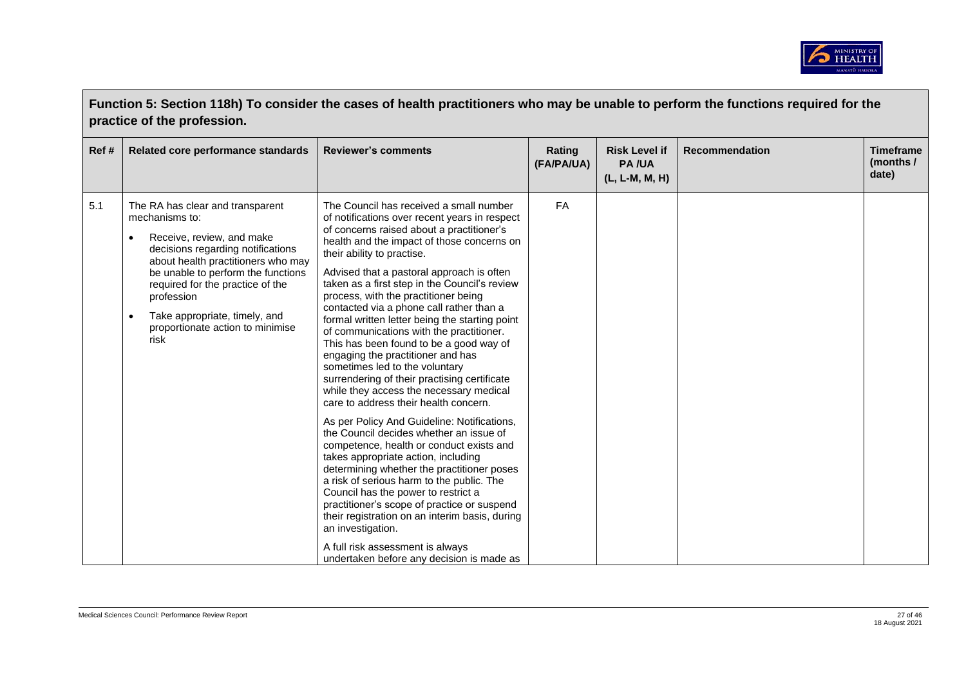

| Function 5: Section 118h) To consider the cases of health practitioners who may be unable to perform the functions required for the<br>practice of the profession. |                                                                                                                                                                                                                                                                                                                                              |                                                                                                                                                                                                                                                                                                                                                                                                                                                                                                                                                                                                                                                                                                                                                                                                                                                                                                                                                                                                                                                                                                                                                                                                                                                                               |                      |                                                        |                       |                                        |  |
|--------------------------------------------------------------------------------------------------------------------------------------------------------------------|----------------------------------------------------------------------------------------------------------------------------------------------------------------------------------------------------------------------------------------------------------------------------------------------------------------------------------------------|-------------------------------------------------------------------------------------------------------------------------------------------------------------------------------------------------------------------------------------------------------------------------------------------------------------------------------------------------------------------------------------------------------------------------------------------------------------------------------------------------------------------------------------------------------------------------------------------------------------------------------------------------------------------------------------------------------------------------------------------------------------------------------------------------------------------------------------------------------------------------------------------------------------------------------------------------------------------------------------------------------------------------------------------------------------------------------------------------------------------------------------------------------------------------------------------------------------------------------------------------------------------------------|----------------------|--------------------------------------------------------|-----------------------|----------------------------------------|--|
| Ref#                                                                                                                                                               | Related core performance standards                                                                                                                                                                                                                                                                                                           | <b>Reviewer's comments</b>                                                                                                                                                                                                                                                                                                                                                                                                                                                                                                                                                                                                                                                                                                                                                                                                                                                                                                                                                                                                                                                                                                                                                                                                                                                    | Rating<br>(FA/PA/UA) | <b>Risk Level if</b><br><b>PA/UA</b><br>(L, L-M, M, H) | <b>Recommendation</b> | <b>Timeframe</b><br>(months /<br>date) |  |
| 5.1                                                                                                                                                                | The RA has clear and transparent<br>mechanisms to:<br>Receive, review, and make<br>decisions regarding notifications<br>about health practitioners who may<br>be unable to perform the functions<br>required for the practice of the<br>profession<br>Take appropriate, timely, and<br>$\bullet$<br>proportionate action to minimise<br>risk | The Council has received a small number<br>of notifications over recent years in respect<br>of concerns raised about a practitioner's<br>health and the impact of those concerns on<br>their ability to practise.<br>Advised that a pastoral approach is often<br>taken as a first step in the Council's review<br>process, with the practitioner being<br>contacted via a phone call rather than a<br>formal written letter being the starting point<br>of communications with the practitioner.<br>This has been found to be a good way of<br>engaging the practitioner and has<br>sometimes led to the voluntary<br>surrendering of their practising certificate<br>while they access the necessary medical<br>care to address their health concern.<br>As per Policy And Guideline: Notifications,<br>the Council decides whether an issue of<br>competence, health or conduct exists and<br>takes appropriate action, including<br>determining whether the practitioner poses<br>a risk of serious harm to the public. The<br>Council has the power to restrict a<br>practitioner's scope of practice or suspend<br>their registration on an interim basis, during<br>an investigation.<br>A full risk assessment is always<br>undertaken before any decision is made as | <b>FA</b>            |                                                        |                       |                                        |  |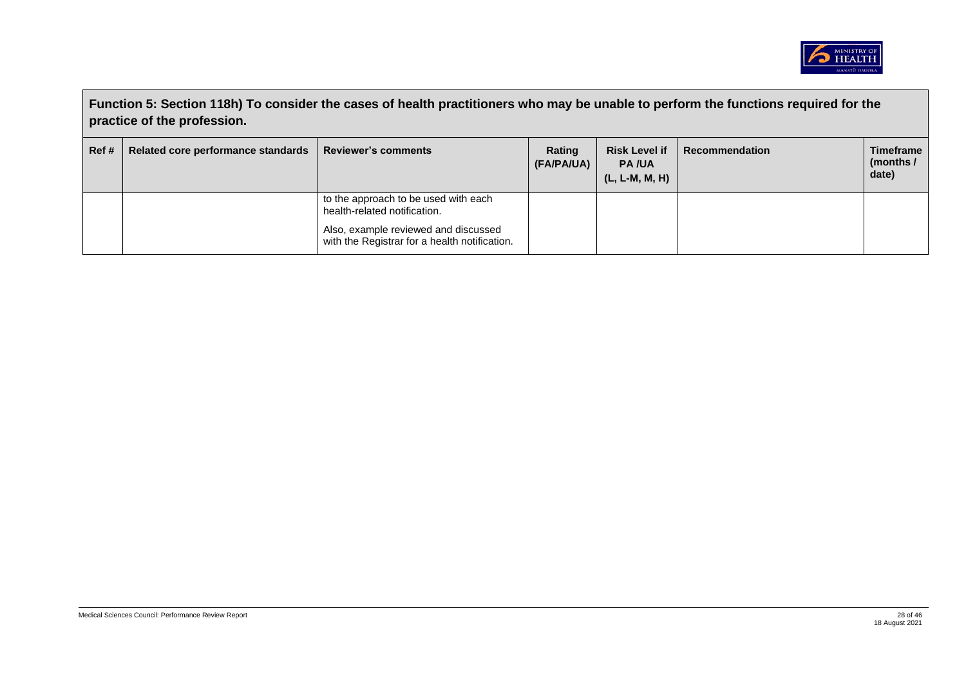

|      | Function 5: Section 118h) To consider the cases of health practitioners who may be unable to perform the functions required for the<br>practice of the profession. |                                                                                       |                      |                                                        |                |                                        |  |  |
|------|--------------------------------------------------------------------------------------------------------------------------------------------------------------------|---------------------------------------------------------------------------------------|----------------------|--------------------------------------------------------|----------------|----------------------------------------|--|--|
| Ref# | Related core performance standards                                                                                                                                 | <b>Reviewer's comments</b>                                                            | Rating<br>(FA/PA/UA) | <b>Risk Level if</b><br><b>PA/UA</b><br>(L, L-M, M, H) | Recommendation | <b>Timeframe</b><br>(months /<br>date) |  |  |
|      |                                                                                                                                                                    | to the approach to be used with each<br>health-related notification.                  |                      |                                                        |                |                                        |  |  |
|      |                                                                                                                                                                    | Also, example reviewed and discussed<br>with the Registrar for a health notification. |                      |                                                        |                |                                        |  |  |

 $\blacksquare$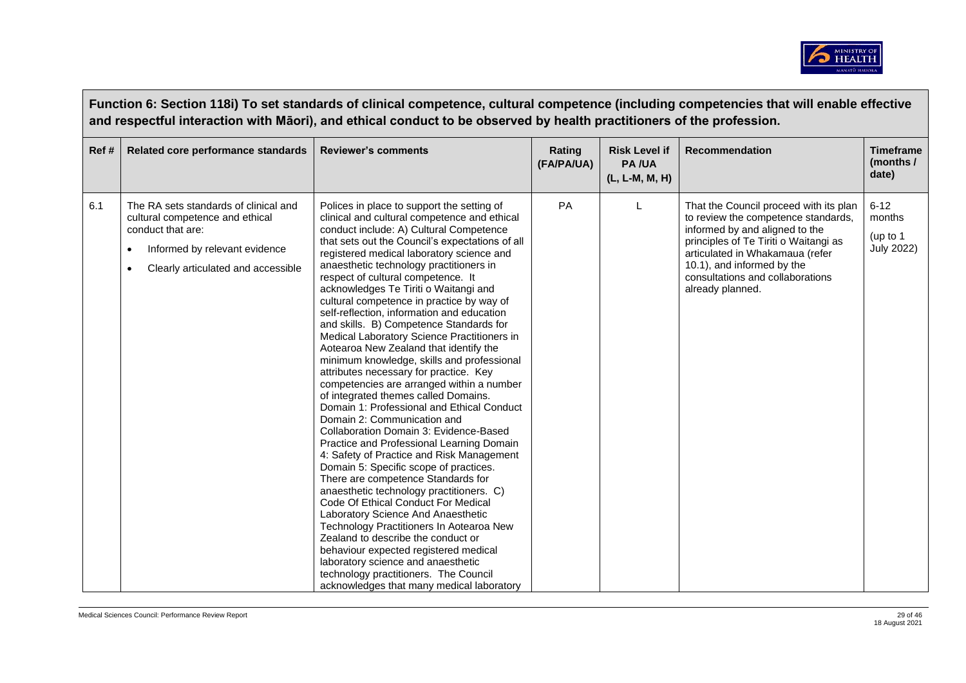

|      | Function 6: Section 118i) To set standards of clinical competence, cultural competence (including competencies that will enable effective<br>and respectful interaction with Māori), and ethical conduct to be observed by health practitioners of the profession. |                                                                                                                                                                                                                                                                                                                                                                                                                                                                                                                                                                                                                                                                                                                                                                                                                                                                                                                                                                                                                                                                                                                                                                                                                                                                                                                                                                                                                                                              |                      |                                                        |                                                                                                                                                                                                                                                                                   |                                                     |  |  |  |
|------|--------------------------------------------------------------------------------------------------------------------------------------------------------------------------------------------------------------------------------------------------------------------|--------------------------------------------------------------------------------------------------------------------------------------------------------------------------------------------------------------------------------------------------------------------------------------------------------------------------------------------------------------------------------------------------------------------------------------------------------------------------------------------------------------------------------------------------------------------------------------------------------------------------------------------------------------------------------------------------------------------------------------------------------------------------------------------------------------------------------------------------------------------------------------------------------------------------------------------------------------------------------------------------------------------------------------------------------------------------------------------------------------------------------------------------------------------------------------------------------------------------------------------------------------------------------------------------------------------------------------------------------------------------------------------------------------------------------------------------------------|----------------------|--------------------------------------------------------|-----------------------------------------------------------------------------------------------------------------------------------------------------------------------------------------------------------------------------------------------------------------------------------|-----------------------------------------------------|--|--|--|
| Ref# | Related core performance standards                                                                                                                                                                                                                                 | <b>Reviewer's comments</b>                                                                                                                                                                                                                                                                                                                                                                                                                                                                                                                                                                                                                                                                                                                                                                                                                                                                                                                                                                                                                                                                                                                                                                                                                                                                                                                                                                                                                                   | Rating<br>(FA/PA/UA) | <b>Risk Level if</b><br><b>PA/UA</b><br>(L, L-M, M, H) | <b>Recommendation</b>                                                                                                                                                                                                                                                             | <b>Timeframe</b><br>(months /<br>date)              |  |  |  |
| 6.1  | The RA sets standards of clinical and<br>cultural competence and ethical<br>conduct that are:<br>Informed by relevant evidence<br>Clearly articulated and accessible                                                                                               | Polices in place to support the setting of<br>clinical and cultural competence and ethical<br>conduct include: A) Cultural Competence<br>that sets out the Council's expectations of all<br>registered medical laboratory science and<br>anaesthetic technology practitioners in<br>respect of cultural competence. It<br>acknowledges Te Tiriti o Waitangi and<br>cultural competence in practice by way of<br>self-reflection, information and education<br>and skills. B) Competence Standards for<br>Medical Laboratory Science Practitioners in<br>Aotearoa New Zealand that identify the<br>minimum knowledge, skills and professional<br>attributes necessary for practice. Key<br>competencies are arranged within a number<br>of integrated themes called Domains.<br>Domain 1: Professional and Ethical Conduct<br>Domain 2: Communication and<br>Collaboration Domain 3: Evidence-Based<br>Practice and Professional Learning Domain<br>4: Safety of Practice and Risk Management<br>Domain 5: Specific scope of practices.<br>There are competence Standards for<br>anaesthetic technology practitioners. C)<br>Code Of Ethical Conduct For Medical<br>Laboratory Science And Anaesthetic<br>Technology Practitioners In Aotearoa New<br>Zealand to describe the conduct or<br>behaviour expected registered medical<br>laboratory science and anaesthetic<br>technology practitioners. The Council<br>acknowledges that many medical laboratory | PA                   |                                                        | That the Council proceed with its plan<br>to review the competence standards,<br>informed by and aligned to the<br>principles of Te Tiriti o Waitangi as<br>articulated in Whakamaua (refer<br>10.1), and informed by the<br>consultations and collaborations<br>already planned. | $6 - 12$<br>months<br>(up to 1<br><b>July 2022)</b> |  |  |  |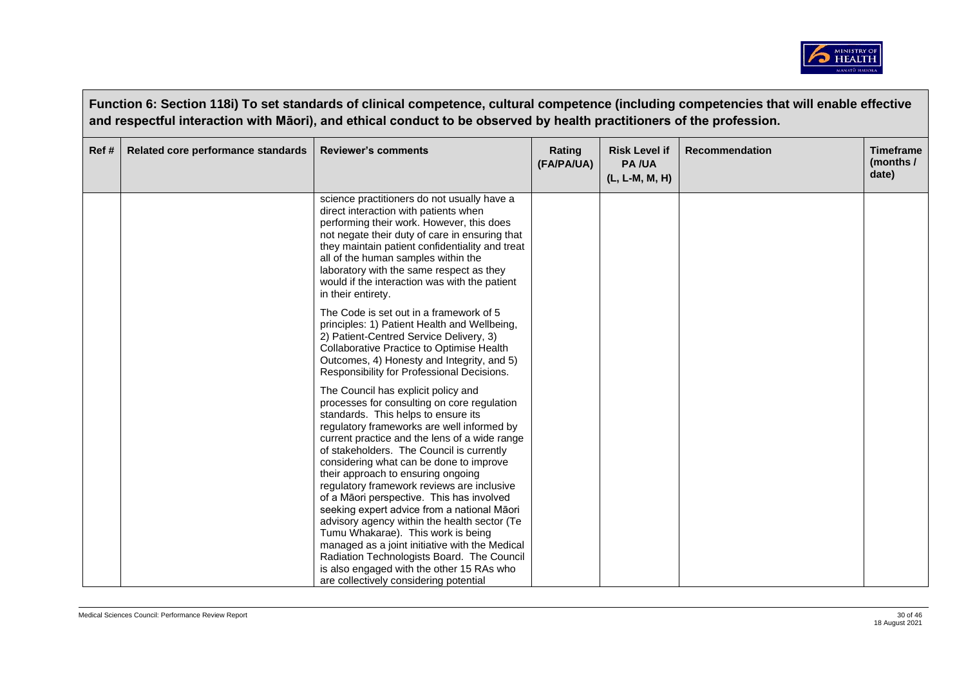

|       | Function 6: Section 118i) To set standards of clinical competence, cultural competence (including competencies that will enable effective<br>and respectful interaction with Māori), and ethical conduct to be observed by health practitioners of the profession. |                                                                                                                                                                                                                                                                                                                                                                                                                                                   |                      |                                                        |                |                                        |  |  |
|-------|--------------------------------------------------------------------------------------------------------------------------------------------------------------------------------------------------------------------------------------------------------------------|---------------------------------------------------------------------------------------------------------------------------------------------------------------------------------------------------------------------------------------------------------------------------------------------------------------------------------------------------------------------------------------------------------------------------------------------------|----------------------|--------------------------------------------------------|----------------|----------------------------------------|--|--|
| Ref # | Related core performance standards                                                                                                                                                                                                                                 | <b>Reviewer's comments</b>                                                                                                                                                                                                                                                                                                                                                                                                                        | Rating<br>(FA/PA/UA) | <b>Risk Level if</b><br><b>PA/UA</b><br>(L, L-M, M, H) | Recommendation | <b>Timeframe</b><br>(months /<br>date) |  |  |
|       |                                                                                                                                                                                                                                                                    | science practitioners do not usually have a<br>direct interaction with patients when<br>performing their work. However, this does<br>not negate their duty of care in ensuring that<br>they maintain patient confidentiality and treat<br>all of the human samples within the<br>laboratory with the same respect as they<br>would if the interaction was with the patient<br>in their entirety.                                                  |                      |                                                        |                |                                        |  |  |
|       |                                                                                                                                                                                                                                                                    | The Code is set out in a framework of 5<br>principles: 1) Patient Health and Wellbeing,<br>2) Patient-Centred Service Delivery, 3)<br>Collaborative Practice to Optimise Health<br>Outcomes, 4) Honesty and Integrity, and 5)<br>Responsibility for Professional Decisions.                                                                                                                                                                       |                      |                                                        |                |                                        |  |  |
|       |                                                                                                                                                                                                                                                                    | The Council has explicit policy and<br>processes for consulting on core regulation<br>standards. This helps to ensure its<br>regulatory frameworks are well informed by<br>current practice and the lens of a wide range<br>of stakeholders. The Council is currently<br>considering what can be done to improve<br>their approach to ensuring ongoing<br>regulatory framework reviews are inclusive<br>of a Māori perspective. This has involved |                      |                                                        |                |                                        |  |  |
|       |                                                                                                                                                                                                                                                                    | seeking expert advice from a national Māori<br>advisory agency within the health sector (Te<br>Tumu Whakarae). This work is being<br>managed as a joint initiative with the Medical<br>Radiation Technologists Board. The Council<br>is also engaged with the other 15 RAs who<br>are collectively considering potential                                                                                                                          |                      |                                                        |                |                                        |  |  |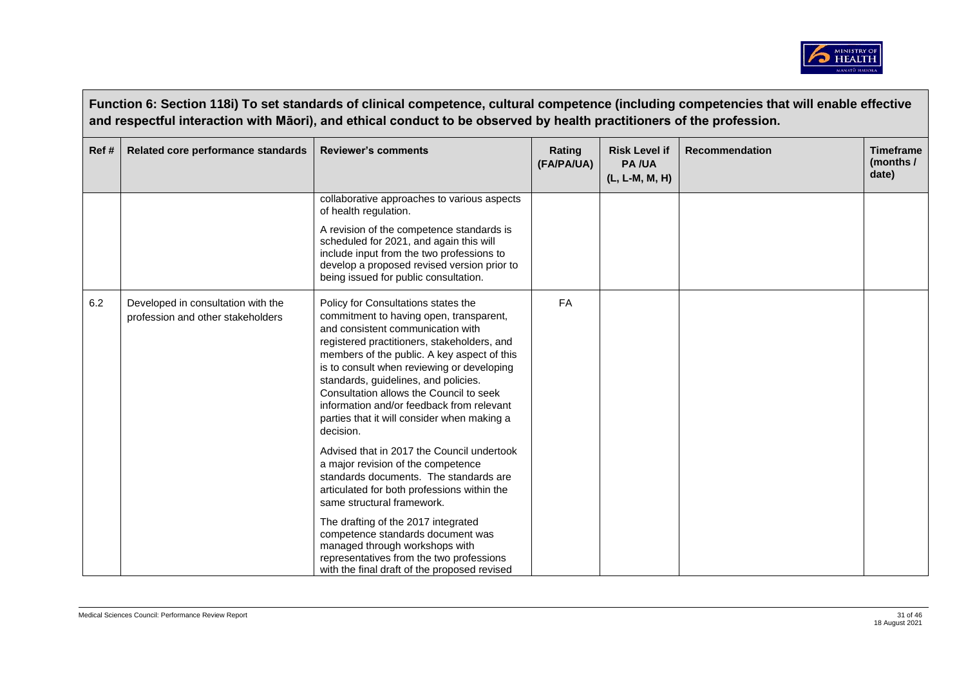

|      | Function 6: Section 118i) To set standards of clinical competence, cultural competence (including competencies that will enable effective<br>and respectful interaction with Māori), and ethical conduct to be observed by health practitioners of the profession. |                                                                                                                                                                                                                                                                                                                                                                                                                                                                                                           |                      |                                                        |                |                                        |  |  |
|------|--------------------------------------------------------------------------------------------------------------------------------------------------------------------------------------------------------------------------------------------------------------------|-----------------------------------------------------------------------------------------------------------------------------------------------------------------------------------------------------------------------------------------------------------------------------------------------------------------------------------------------------------------------------------------------------------------------------------------------------------------------------------------------------------|----------------------|--------------------------------------------------------|----------------|----------------------------------------|--|--|
| Ref# | Related core performance standards                                                                                                                                                                                                                                 | <b>Reviewer's comments</b>                                                                                                                                                                                                                                                                                                                                                                                                                                                                                | Rating<br>(FA/PA/UA) | <b>Risk Level if</b><br><b>PA/UA</b><br>(L, L-M, M, H) | Recommendation | <b>Timeframe</b><br>(months /<br>date) |  |  |
|      |                                                                                                                                                                                                                                                                    | collaborative approaches to various aspects<br>of health regulation.                                                                                                                                                                                                                                                                                                                                                                                                                                      |                      |                                                        |                |                                        |  |  |
|      |                                                                                                                                                                                                                                                                    | A revision of the competence standards is<br>scheduled for 2021, and again this will<br>include input from the two professions to<br>develop a proposed revised version prior to<br>being issued for public consultation.                                                                                                                                                                                                                                                                                 |                      |                                                        |                |                                        |  |  |
| 6.2  | Developed in consultation with the<br>profession and other stakeholders                                                                                                                                                                                            | Policy for Consultations states the<br>commitment to having open, transparent,<br>and consistent communication with<br>registered practitioners, stakeholders, and<br>members of the public. A key aspect of this<br>is to consult when reviewing or developing<br>standards, guidelines, and policies.<br>Consultation allows the Council to seek<br>information and/or feedback from relevant<br>parties that it will consider when making a<br>decision.<br>Advised that in 2017 the Council undertook | <b>FA</b>            |                                                        |                |                                        |  |  |
|      |                                                                                                                                                                                                                                                                    | a major revision of the competence<br>standards documents. The standards are<br>articulated for both professions within the<br>same structural framework.                                                                                                                                                                                                                                                                                                                                                 |                      |                                                        |                |                                        |  |  |
|      |                                                                                                                                                                                                                                                                    | The drafting of the 2017 integrated<br>competence standards document was<br>managed through workshops with<br>representatives from the two professions<br>with the final draft of the proposed revised                                                                                                                                                                                                                                                                                                    |                      |                                                        |                |                                        |  |  |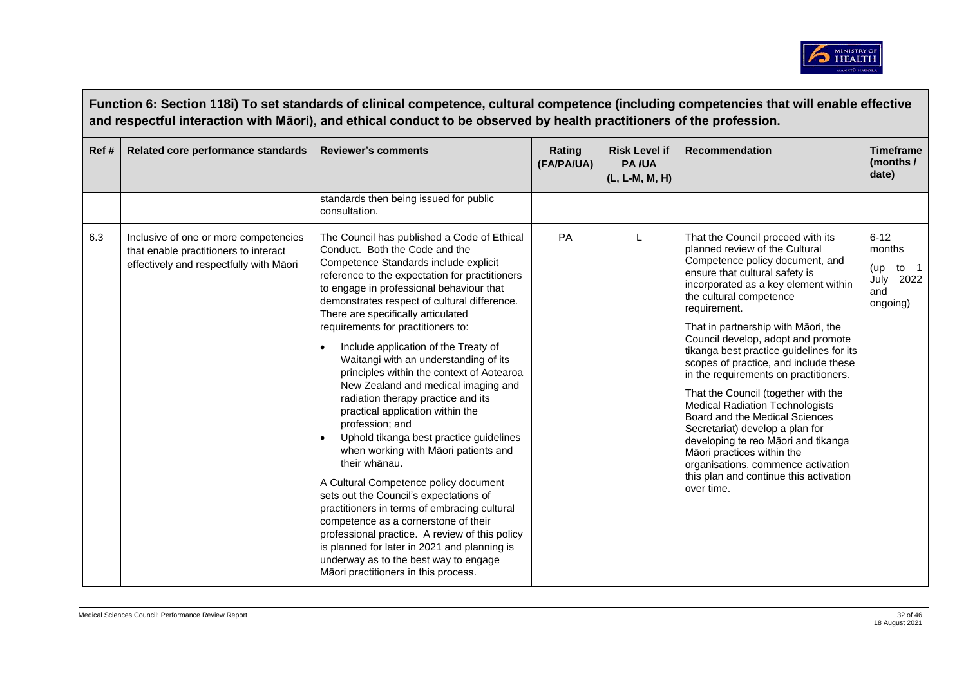

|      | Function 6: Section 118i) To set standards of clinical competence, cultural competence (including competencies that will enable effective<br>and respectful interaction with Māori), and ethical conduct to be observed by health practitioners of the profession. |                                                                                                                                                                                                                                                                                                                                                                                                                                                                                                                                                                                                                                                                                                                                                                                                                                                                                                                                                                                                                                                                                      |                      |                                                 |                                                                                                                                                                                                                                                                                                                                                                                                                                                                                                                                                                                                                                                                                                                                                                 |                                                                   |  |  |  |
|------|--------------------------------------------------------------------------------------------------------------------------------------------------------------------------------------------------------------------------------------------------------------------|--------------------------------------------------------------------------------------------------------------------------------------------------------------------------------------------------------------------------------------------------------------------------------------------------------------------------------------------------------------------------------------------------------------------------------------------------------------------------------------------------------------------------------------------------------------------------------------------------------------------------------------------------------------------------------------------------------------------------------------------------------------------------------------------------------------------------------------------------------------------------------------------------------------------------------------------------------------------------------------------------------------------------------------------------------------------------------------|----------------------|-------------------------------------------------|-----------------------------------------------------------------------------------------------------------------------------------------------------------------------------------------------------------------------------------------------------------------------------------------------------------------------------------------------------------------------------------------------------------------------------------------------------------------------------------------------------------------------------------------------------------------------------------------------------------------------------------------------------------------------------------------------------------------------------------------------------------------|-------------------------------------------------------------------|--|--|--|
| Ref# | Related core performance standards                                                                                                                                                                                                                                 | <b>Reviewer's comments</b>                                                                                                                                                                                                                                                                                                                                                                                                                                                                                                                                                                                                                                                                                                                                                                                                                                                                                                                                                                                                                                                           | Rating<br>(FA/PA/UA) | <b>Risk Level if</b><br>PA/UA<br>(L, L-M, M, H) | <b>Recommendation</b>                                                                                                                                                                                                                                                                                                                                                                                                                                                                                                                                                                                                                                                                                                                                           | <b>Timeframe</b><br>(months /<br>date)                            |  |  |  |
|      |                                                                                                                                                                                                                                                                    | standards then being issued for public<br>consultation.                                                                                                                                                                                                                                                                                                                                                                                                                                                                                                                                                                                                                                                                                                                                                                                                                                                                                                                                                                                                                              |                      |                                                 |                                                                                                                                                                                                                                                                                                                                                                                                                                                                                                                                                                                                                                                                                                                                                                 |                                                                   |  |  |  |
| 6.3  | Inclusive of one or more competencies<br>that enable practitioners to interact<br>effectively and respectfully with Māori                                                                                                                                          | The Council has published a Code of Ethical<br>Conduct. Both the Code and the<br>Competence Standards include explicit<br>reference to the expectation for practitioners<br>to engage in professional behaviour that<br>demonstrates respect of cultural difference.<br>There are specifically articulated<br>requirements for practitioners to:<br>Include application of the Treaty of<br>Waitangi with an understanding of its<br>principles within the context of Aotearoa<br>New Zealand and medical imaging and<br>radiation therapy practice and its<br>practical application within the<br>profession; and<br>Uphold tikanga best practice guidelines<br>when working with Māori patients and<br>their whānau.<br>A Cultural Competence policy document<br>sets out the Council's expectations of<br>practitioners in terms of embracing cultural<br>competence as a cornerstone of their<br>professional practice. A review of this policy<br>is planned for later in 2021 and planning is<br>underway as to the best way to engage<br>Māori practitioners in this process. | PA                   |                                                 | That the Council proceed with its<br>planned review of the Cultural<br>Competence policy document, and<br>ensure that cultural safety is<br>incorporated as a key element within<br>the cultural competence<br>requirement.<br>That in partnership with Māori, the<br>Council develop, adopt and promote<br>tikanga best practice guidelines for its<br>scopes of practice, and include these<br>in the requirements on practitioners.<br>That the Council (together with the<br><b>Medical Radiation Technologists</b><br>Board and the Medical Sciences<br>Secretariat) develop a plan for<br>developing te reo Māori and tikanga<br>Māori practices within the<br>organisations, commence activation<br>this plan and continue this activation<br>over time. | $6 - 12$<br>months<br>to 1<br>(up<br>July 2022<br>and<br>ongoing) |  |  |  |

 $\Gamma$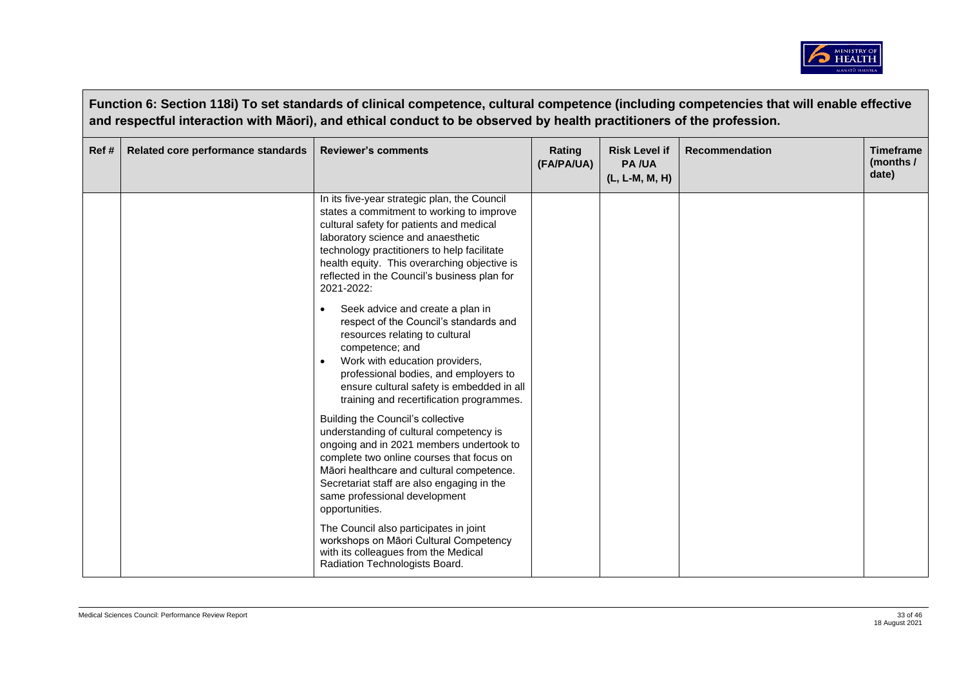

|      | Function 6: Section 118i) To set standards of clinical competence, cultural competence (including competencies that will enable effective<br>and respectful interaction with Māori), and ethical conduct to be observed by health practitioners of the profession. |                                                                                                                                                                                                                                                                                                                                          |                      |                                                        |                       |                                        |  |  |
|------|--------------------------------------------------------------------------------------------------------------------------------------------------------------------------------------------------------------------------------------------------------------------|------------------------------------------------------------------------------------------------------------------------------------------------------------------------------------------------------------------------------------------------------------------------------------------------------------------------------------------|----------------------|--------------------------------------------------------|-----------------------|----------------------------------------|--|--|
| Ref# | Related core performance standards                                                                                                                                                                                                                                 | <b>Reviewer's comments</b>                                                                                                                                                                                                                                                                                                               | Rating<br>(FA/PA/UA) | <b>Risk Level if</b><br><b>PA/UA</b><br>(L, L-M, M, H) | <b>Recommendation</b> | <b>Timeframe</b><br>(months /<br>date) |  |  |
|      |                                                                                                                                                                                                                                                                    | In its five-year strategic plan, the Council<br>states a commitment to working to improve<br>cultural safety for patients and medical<br>laboratory science and anaesthetic<br>technology practitioners to help facilitate<br>health equity. This overarching objective is<br>reflected in the Council's business plan for<br>2021-2022: |                      |                                                        |                       |                                        |  |  |
|      |                                                                                                                                                                                                                                                                    | Seek advice and create a plan in<br>respect of the Council's standards and<br>resources relating to cultural<br>competence; and<br>Work with education providers,<br>professional bodies, and employers to<br>ensure cultural safety is embedded in all<br>training and recertification programmes.                                      |                      |                                                        |                       |                                        |  |  |
|      |                                                                                                                                                                                                                                                                    | Building the Council's collective<br>understanding of cultural competency is<br>ongoing and in 2021 members undertook to<br>complete two online courses that focus on<br>Māori healthcare and cultural competence.<br>Secretariat staff are also engaging in the<br>same professional development<br>opportunities.                      |                      |                                                        |                       |                                        |  |  |
|      |                                                                                                                                                                                                                                                                    | The Council also participates in joint<br>workshops on Māori Cultural Competency<br>with its colleagues from the Medical<br>Radiation Technologists Board.                                                                                                                                                                               |                      |                                                        |                       |                                        |  |  |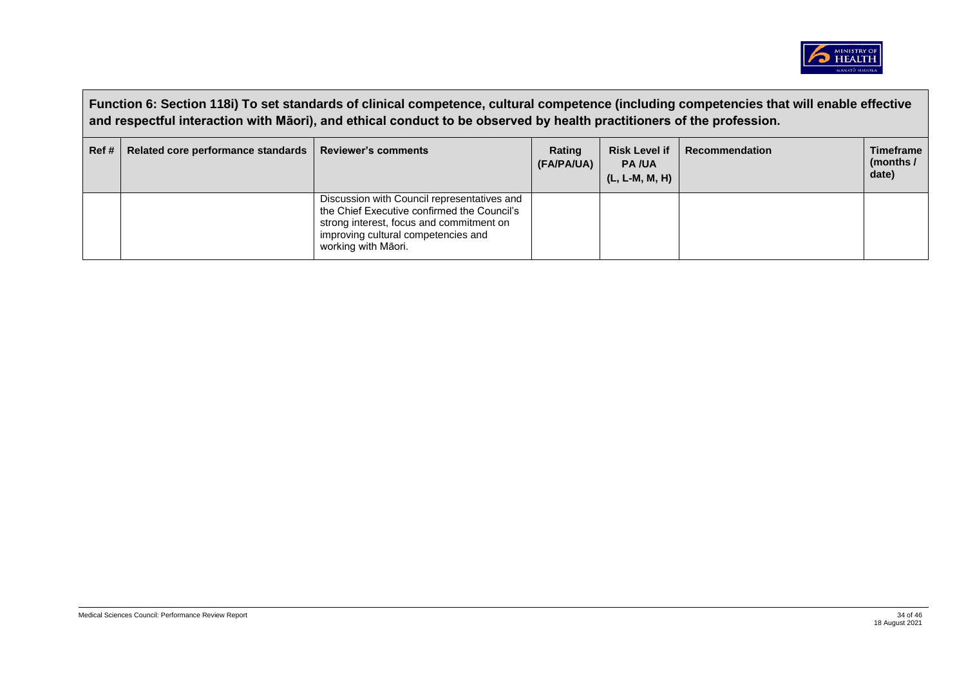

|      | Function 6: Section 118i) To set standards of clinical competence, cultural competence (including competencies that will enable effective<br>and respectful interaction with Māori), and ethical conduct to be observed by health practitioners of the profession. |                                                                                                                                                                                                      |                      |                                                        |                       |                                        |  |  |
|------|--------------------------------------------------------------------------------------------------------------------------------------------------------------------------------------------------------------------------------------------------------------------|------------------------------------------------------------------------------------------------------------------------------------------------------------------------------------------------------|----------------------|--------------------------------------------------------|-----------------------|----------------------------------------|--|--|
| Ref# | Related core performance standards                                                                                                                                                                                                                                 | <b>Reviewer's comments</b>                                                                                                                                                                           | Rating<br>(FA/PA/UA) | <b>Risk Level if</b><br><b>PA/UA</b><br>(L, L-M, M, H) | <b>Recommendation</b> | <b>Timeframe</b><br>(months /<br>date) |  |  |
|      |                                                                                                                                                                                                                                                                    | Discussion with Council representatives and<br>the Chief Executive confirmed the Council's<br>strong interest, focus and commitment on<br>improving cultural competencies and<br>working with Maori. |                      |                                                        |                       |                                        |  |  |

 $\Box$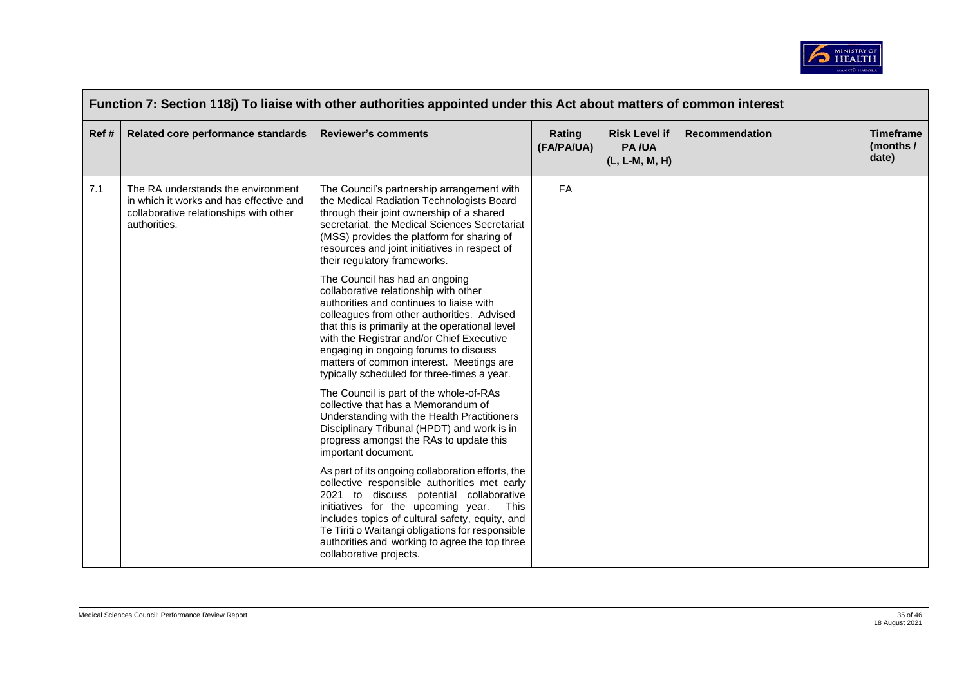

| Ref# | Related core performance standards                                                                                                      | <b>Reviewer's comments</b>                                                                                                                                                                                                                                                                                                                                                                            | Rating<br>(FA/PA/UA) | <b>Risk Level if</b><br><b>PA/UA</b><br>(L, L-M, M, H) | <b>Recommendation</b> | <b>Timeframe</b><br>(months /<br>date) |
|------|-----------------------------------------------------------------------------------------------------------------------------------------|-------------------------------------------------------------------------------------------------------------------------------------------------------------------------------------------------------------------------------------------------------------------------------------------------------------------------------------------------------------------------------------------------------|----------------------|--------------------------------------------------------|-----------------------|----------------------------------------|
| 7.1  | The RA understands the environment<br>in which it works and has effective and<br>collaborative relationships with other<br>authorities. | The Council's partnership arrangement with<br>the Medical Radiation Technologists Board<br>through their joint ownership of a shared<br>secretariat, the Medical Sciences Secretariat<br>(MSS) provides the platform for sharing of<br>resources and joint initiatives in respect of<br>their regulatory frameworks.                                                                                  | FA                   |                                                        |                       |                                        |
|      |                                                                                                                                         | The Council has had an ongoing<br>collaborative relationship with other<br>authorities and continues to liaise with<br>colleagues from other authorities. Advised<br>that this is primarily at the operational level<br>with the Registrar and/or Chief Executive<br>engaging in ongoing forums to discuss<br>matters of common interest. Meetings are<br>typically scheduled for three-times a year. |                      |                                                        |                       |                                        |
|      |                                                                                                                                         | The Council is part of the whole-of-RAs<br>collective that has a Memorandum of<br>Understanding with the Health Practitioners<br>Disciplinary Tribunal (HPDT) and work is in<br>progress amongst the RAs to update this<br>important document.                                                                                                                                                        |                      |                                                        |                       |                                        |
|      |                                                                                                                                         | As part of its ongoing collaboration efforts, the<br>collective responsible authorities met early<br>2021 to discuss potential collaborative<br>initiatives for the upcoming year.<br>This<br>includes topics of cultural safety, equity, and<br>Te Tiriti o Waitangi obligations for responsible<br>authorities and working to agree the top three<br>collaborative projects.                        |                      |                                                        |                       |                                        |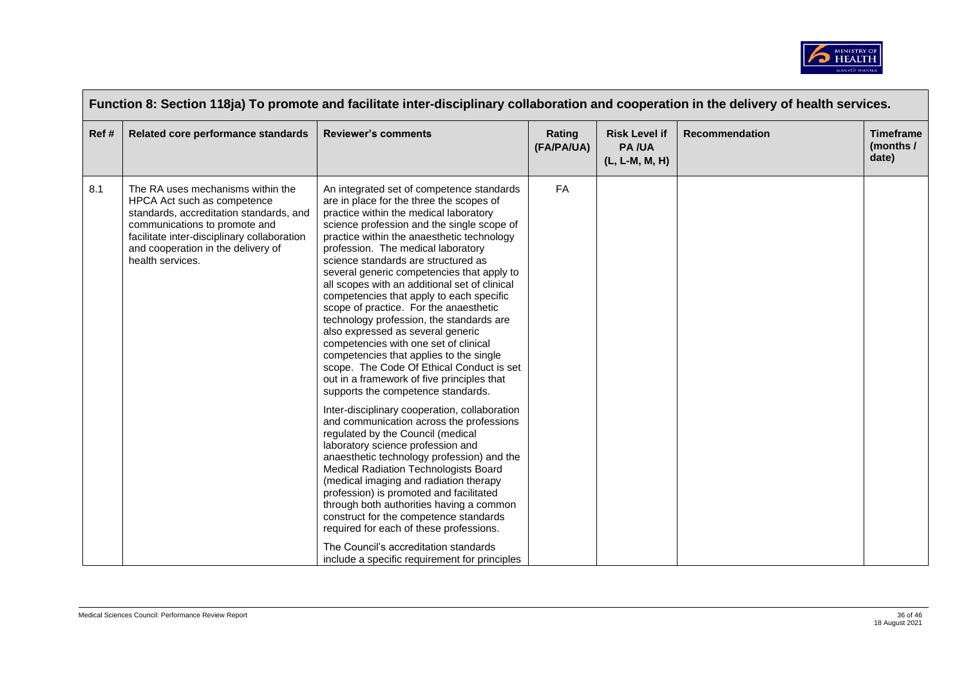

| Function 8: Section 118ja) To promote and facilitate inter-disciplinary collaboration and cooperation in the delivery of health services. |                                                                                                                                                                                                                                                       |                                                                                                                                                                                                                                                                                                                                                                                                                                                                                                                                                                                                                                                                                                                                                                                                                                                                                                                                                                                                                                                                                                                                                                                                                                                                                                                                                                                   |                      |                                                        |                       |                                        |  |
|-------------------------------------------------------------------------------------------------------------------------------------------|-------------------------------------------------------------------------------------------------------------------------------------------------------------------------------------------------------------------------------------------------------|-----------------------------------------------------------------------------------------------------------------------------------------------------------------------------------------------------------------------------------------------------------------------------------------------------------------------------------------------------------------------------------------------------------------------------------------------------------------------------------------------------------------------------------------------------------------------------------------------------------------------------------------------------------------------------------------------------------------------------------------------------------------------------------------------------------------------------------------------------------------------------------------------------------------------------------------------------------------------------------------------------------------------------------------------------------------------------------------------------------------------------------------------------------------------------------------------------------------------------------------------------------------------------------------------------------------------------------------------------------------------------------|----------------------|--------------------------------------------------------|-----------------------|----------------------------------------|--|
| Ref#                                                                                                                                      | Related core performance standards                                                                                                                                                                                                                    | <b>Reviewer's comments</b>                                                                                                                                                                                                                                                                                                                                                                                                                                                                                                                                                                                                                                                                                                                                                                                                                                                                                                                                                                                                                                                                                                                                                                                                                                                                                                                                                        | Rating<br>(FA/PA/UA) | <b>Risk Level if</b><br><b>PA/UA</b><br>(L, L-M, M, H) | <b>Recommendation</b> | <b>Timeframe</b><br>(months /<br>date) |  |
| 8.1                                                                                                                                       | The RA uses mechanisms within the<br>HPCA Act such as competence<br>standards, accreditation standards, and<br>communications to promote and<br>facilitate inter-disciplinary collaboration<br>and cooperation in the delivery of<br>health services. | An integrated set of competence standards<br>are in place for the three the scopes of<br>practice within the medical laboratory<br>science profession and the single scope of<br>practice within the anaesthetic technology<br>profession. The medical laboratory<br>science standards are structured as<br>several generic competencies that apply to<br>all scopes with an additional set of clinical<br>competencies that apply to each specific<br>scope of practice. For the anaesthetic<br>technology profession, the standards are<br>also expressed as several generic<br>competencies with one set of clinical<br>competencies that applies to the single<br>scope. The Code Of Ethical Conduct is set<br>out in a framework of five principles that<br>supports the competence standards.<br>Inter-disciplinary cooperation, collaboration<br>and communication across the professions<br>regulated by the Council (medical<br>laboratory science profession and<br>anaesthetic technology profession) and the<br>Medical Radiation Technologists Board<br>(medical imaging and radiation therapy<br>profession) is promoted and facilitated<br>through both authorities having a common<br>construct for the competence standards<br>required for each of these professions.<br>The Council's accreditation standards<br>include a specific requirement for principles | FA                   |                                                        |                       |                                        |  |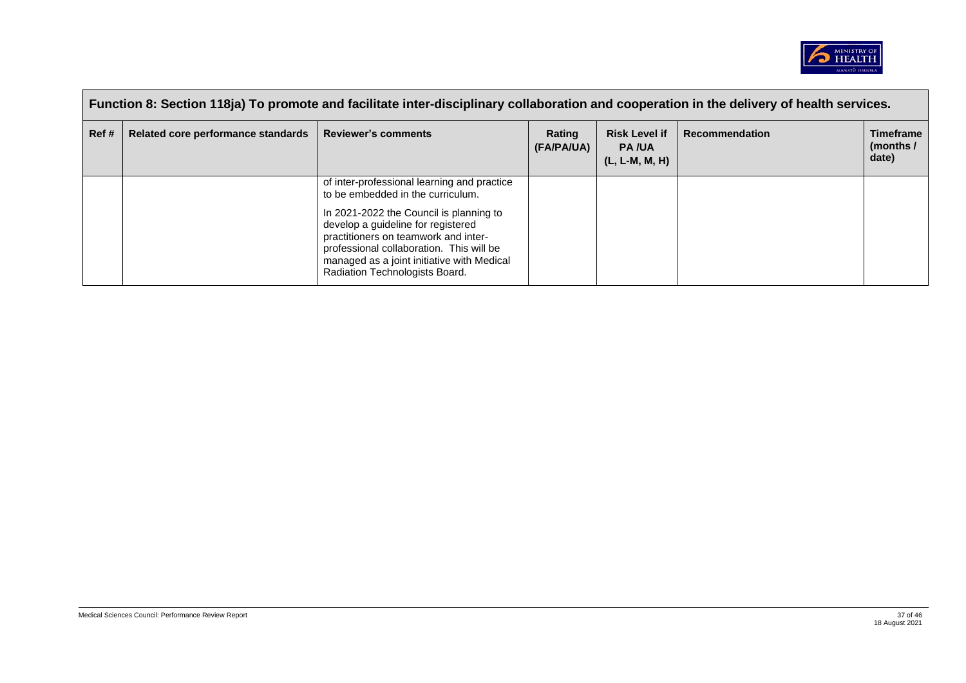

|      | Function 8: Section 118ja) To promote and facilitate inter-disciplinary collaboration and cooperation in the delivery of health services. |                                                                                                                                                                                                                                                                                                                                       |                      |                                                        |                       |                                        |  |  |
|------|-------------------------------------------------------------------------------------------------------------------------------------------|---------------------------------------------------------------------------------------------------------------------------------------------------------------------------------------------------------------------------------------------------------------------------------------------------------------------------------------|----------------------|--------------------------------------------------------|-----------------------|----------------------------------------|--|--|
| Ref# | Related core performance standards                                                                                                        | <b>Reviewer's comments</b>                                                                                                                                                                                                                                                                                                            | Rating<br>(FA/PA/UA) | <b>Risk Level if</b><br><b>PA/UA</b><br>(L, L-M, M, H) | <b>Recommendation</b> | <b>Timeframe</b><br>(months /<br>date) |  |  |
|      |                                                                                                                                           | of inter-professional learning and practice<br>to be embedded in the curriculum.<br>In 2021-2022 the Council is planning to<br>develop a quideline for registered<br>practitioners on teamwork and inter-<br>professional collaboration. This will be<br>managed as a joint initiative with Medical<br>Radiation Technologists Board. |                      |                                                        |                       |                                        |  |  |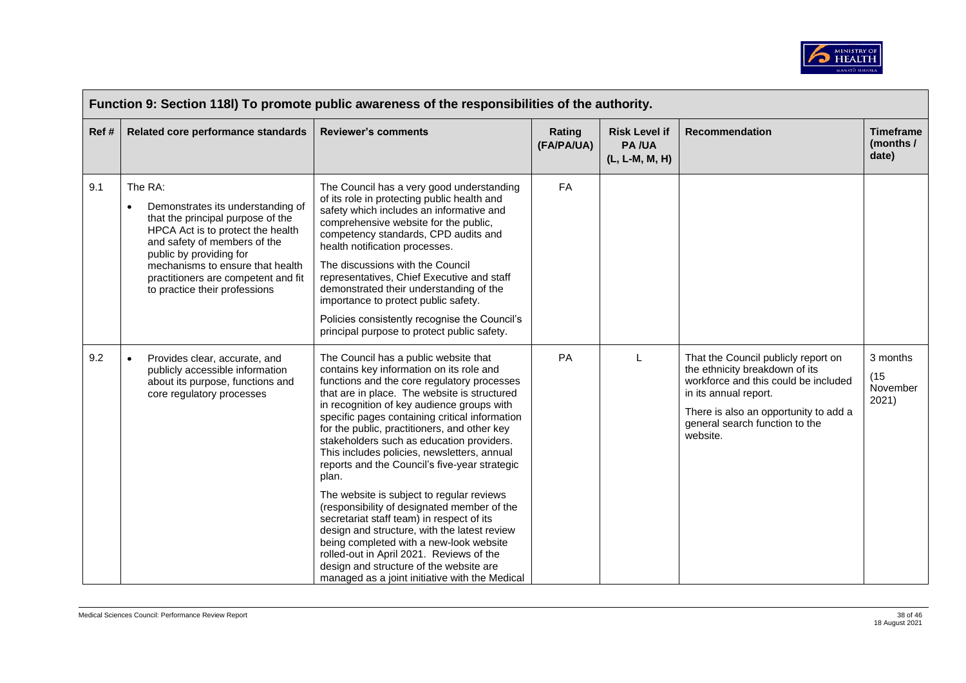

| Function 9: Section 118I) To promote public awareness of the responsibilities of the authority. |                                                                                                                                                                                                                                                                                                            |                                                                                                                                                                                                                                                                                                                                                                                                                                                                                                                                                                                                                                                                                                                                                                                                                                                                     |                      |                                                        |                                                                                                                                                                                                                               |                                        |  |  |
|-------------------------------------------------------------------------------------------------|------------------------------------------------------------------------------------------------------------------------------------------------------------------------------------------------------------------------------------------------------------------------------------------------------------|---------------------------------------------------------------------------------------------------------------------------------------------------------------------------------------------------------------------------------------------------------------------------------------------------------------------------------------------------------------------------------------------------------------------------------------------------------------------------------------------------------------------------------------------------------------------------------------------------------------------------------------------------------------------------------------------------------------------------------------------------------------------------------------------------------------------------------------------------------------------|----------------------|--------------------------------------------------------|-------------------------------------------------------------------------------------------------------------------------------------------------------------------------------------------------------------------------------|----------------------------------------|--|--|
| Ref#                                                                                            | Related core performance standards                                                                                                                                                                                                                                                                         | <b>Reviewer's comments</b>                                                                                                                                                                                                                                                                                                                                                                                                                                                                                                                                                                                                                                                                                                                                                                                                                                          | Rating<br>(FA/PA/UA) | <b>Risk Level if</b><br><b>PA/UA</b><br>(L, L-M, M, H) | <b>Recommendation</b>                                                                                                                                                                                                         | <b>Timeframe</b><br>(months /<br>date) |  |  |
| 9.1                                                                                             | The RA:<br>Demonstrates its understanding of<br>$\bullet$<br>that the principal purpose of the<br>HPCA Act is to protect the health<br>and safety of members of the<br>public by providing for<br>mechanisms to ensure that health<br>practitioners are competent and fit<br>to practice their professions | The Council has a very good understanding<br>of its role in protecting public health and<br>safety which includes an informative and<br>comprehensive website for the public,<br>competency standards, CPD audits and<br>health notification processes.<br>The discussions with the Council<br>representatives, Chief Executive and staff<br>demonstrated their understanding of the<br>importance to protect public safety.<br>Policies consistently recognise the Council's<br>principal purpose to protect public safety.                                                                                                                                                                                                                                                                                                                                        | FA                   |                                                        |                                                                                                                                                                                                                               |                                        |  |  |
| 9.2                                                                                             | Provides clear, accurate, and<br>$\bullet$<br>publicly accessible information<br>about its purpose, functions and<br>core regulatory processes                                                                                                                                                             | The Council has a public website that<br>contains key information on its role and<br>functions and the core regulatory processes<br>that are in place. The website is structured<br>in recognition of key audience groups with<br>specific pages containing critical information<br>for the public, practitioners, and other key<br>stakeholders such as education providers.<br>This includes policies, newsletters, annual<br>reports and the Council's five-year strategic<br>plan.<br>The website is subject to regular reviews<br>(responsibility of designated member of the<br>secretariat staff team) in respect of its<br>design and structure, with the latest review<br>being completed with a new-look website<br>rolled-out in April 2021. Reviews of the<br>design and structure of the website are<br>managed as a joint initiative with the Medical | PA                   | L                                                      | That the Council publicly report on<br>the ethnicity breakdown of its<br>workforce and this could be included<br>in its annual report.<br>There is also an opportunity to add a<br>general search function to the<br>website. | 3 months<br>(15)<br>November<br>2021)  |  |  |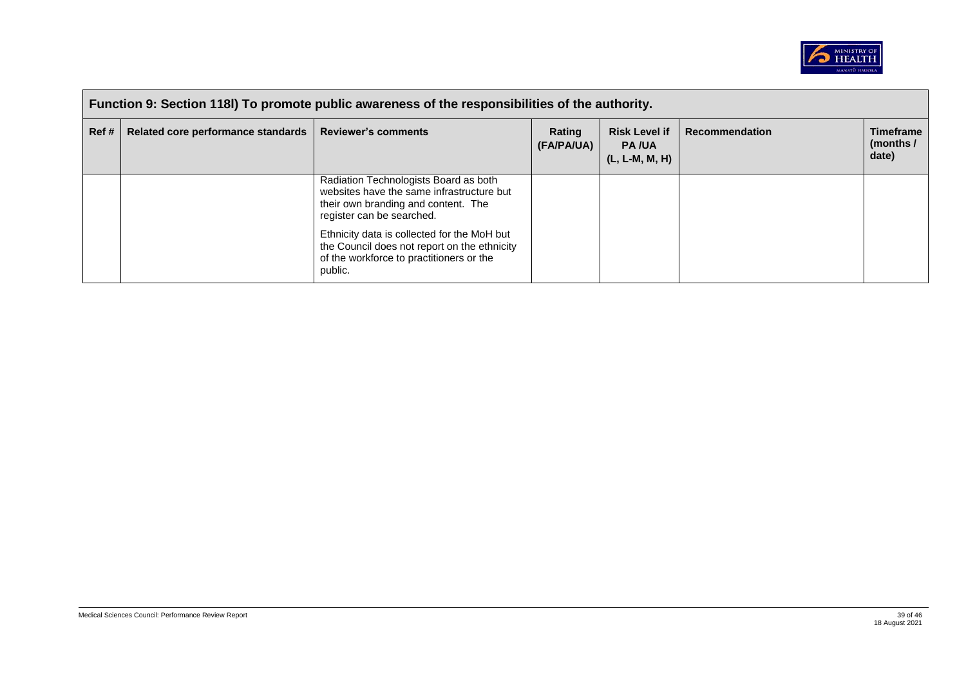

| Function 9: Section 118I) To promote public awareness of the responsibilities of the authority. |                                    |                                                                                                                                                        |                      |                                                          |                       |                                        |  |
|-------------------------------------------------------------------------------------------------|------------------------------------|--------------------------------------------------------------------------------------------------------------------------------------------------------|----------------------|----------------------------------------------------------|-----------------------|----------------------------------------|--|
| Ref #                                                                                           | Related core performance standards | <b>Reviewer's comments</b>                                                                                                                             | Rating<br>(FA/PA/UA) | <b>Risk Level if</b><br><b>PA/UA</b><br>$(L, L-M, M, H)$ | <b>Recommendation</b> | <b>Timeframe</b><br>(months /<br>date) |  |
|                                                                                                 |                                    | Radiation Technologists Board as both<br>websites have the same infrastructure but<br>their own branding and content. The<br>register can be searched. |                      |                                                          |                       |                                        |  |
|                                                                                                 |                                    | Ethnicity data is collected for the MoH but<br>the Council does not report on the ethnicity<br>of the workforce to practitioners or the<br>public.     |                      |                                                          |                       |                                        |  |

 $\blacksquare$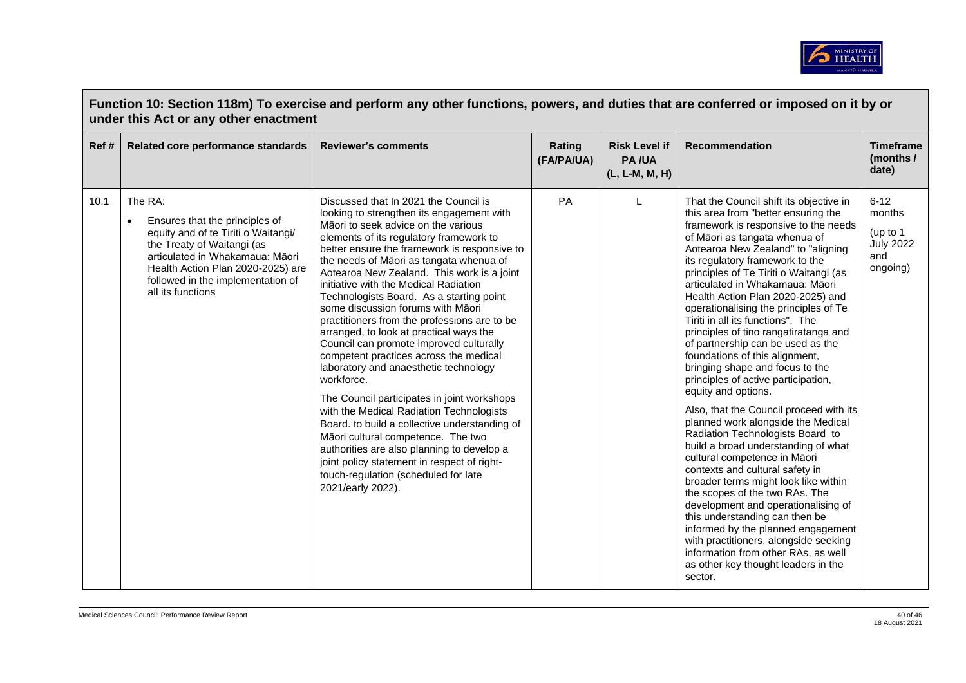

|      | Function 10: Section 118m) To exercise and perform any other functions, powers, and duties that are conferred or imposed on it by or<br>under this Act or any other enactment                                                                                 |                                                                                                                                                                                                                                                                                                                                                                                                                                                                                                                                                                                                                                                                                                                                                                                                                                                                                                                                                                                                                            |                      |                                                        |                                                                                                                                                                                                                                                                                                                                                                                                                                                                                                                                                                                                                                                                                                                                                                                                                                                                                                                                                                                                                                                                                                                                                                                                             |                                                                         |  |  |
|------|---------------------------------------------------------------------------------------------------------------------------------------------------------------------------------------------------------------------------------------------------------------|----------------------------------------------------------------------------------------------------------------------------------------------------------------------------------------------------------------------------------------------------------------------------------------------------------------------------------------------------------------------------------------------------------------------------------------------------------------------------------------------------------------------------------------------------------------------------------------------------------------------------------------------------------------------------------------------------------------------------------------------------------------------------------------------------------------------------------------------------------------------------------------------------------------------------------------------------------------------------------------------------------------------------|----------------------|--------------------------------------------------------|-------------------------------------------------------------------------------------------------------------------------------------------------------------------------------------------------------------------------------------------------------------------------------------------------------------------------------------------------------------------------------------------------------------------------------------------------------------------------------------------------------------------------------------------------------------------------------------------------------------------------------------------------------------------------------------------------------------------------------------------------------------------------------------------------------------------------------------------------------------------------------------------------------------------------------------------------------------------------------------------------------------------------------------------------------------------------------------------------------------------------------------------------------------------------------------------------------------|-------------------------------------------------------------------------|--|--|
| Ref# | Related core performance standards                                                                                                                                                                                                                            | <b>Reviewer's comments</b>                                                                                                                                                                                                                                                                                                                                                                                                                                                                                                                                                                                                                                                                                                                                                                                                                                                                                                                                                                                                 | Rating<br>(FA/PA/UA) | <b>Risk Level if</b><br><b>PA/UA</b><br>(L, L-M, M, H) | <b>Recommendation</b>                                                                                                                                                                                                                                                                                                                                                                                                                                                                                                                                                                                                                                                                                                                                                                                                                                                                                                                                                                                                                                                                                                                                                                                       | <b>Timeframe</b><br>(months /<br>date)                                  |  |  |
| 10.1 | The RA:<br>Ensures that the principles of<br>$\bullet$<br>equity and of te Tiriti o Waitangi/<br>the Treaty of Waitangi (as<br>articulated in Whakamaua: Māori<br>Health Action Plan 2020-2025) are<br>followed in the implementation of<br>all its functions | Discussed that In 2021 the Council is<br>looking to strengthen its engagement with<br>Māori to seek advice on the various<br>elements of its regulatory framework to<br>better ensure the framework is responsive to<br>the needs of Māori as tangata whenua of<br>Aotearoa New Zealand. This work is a joint<br>initiative with the Medical Radiation<br>Technologists Board. As a starting point<br>some discussion forums with Māori<br>practitioners from the professions are to be<br>arranged, to look at practical ways the<br>Council can promote improved culturally<br>competent practices across the medical<br>laboratory and anaesthetic technology<br>workforce.<br>The Council participates in joint workshops<br>with the Medical Radiation Technologists<br>Board. to build a collective understanding of<br>Māori cultural competence. The two<br>authorities are also planning to develop a<br>joint policy statement in respect of right-<br>touch-regulation (scheduled for late<br>2021/early 2022). | PA                   |                                                        | That the Council shift its objective in<br>this area from "better ensuring the<br>framework is responsive to the needs<br>of Māori as tangata whenua of<br>Aotearoa New Zealand" to "aligning<br>its regulatory framework to the<br>principles of Te Tiriti o Waitangi (as<br>articulated in Whakamaua: Māori<br>Health Action Plan 2020-2025) and<br>operationalising the principles of Te<br>Tiriti in all its functions". The<br>principles of tino rangatiratanga and<br>of partnership can be used as the<br>foundations of this alignment,<br>bringing shape and focus to the<br>principles of active participation,<br>equity and options.<br>Also, that the Council proceed with its<br>planned work alongside the Medical<br>Radiation Technologists Board to<br>build a broad understanding of what<br>cultural competence in Māori<br>contexts and cultural safety in<br>broader terms might look like within<br>the scopes of the two RAs. The<br>development and operationalising of<br>this understanding can then be<br>informed by the planned engagement<br>with practitioners, alongside seeking<br>information from other RAs, as well<br>as other key thought leaders in the<br>sector. | $6 - 12$<br>months<br>(up to $1$<br><b>July 2022</b><br>and<br>ongoing) |  |  |

 $\sim 10^{-10}$  m  $^{-1}$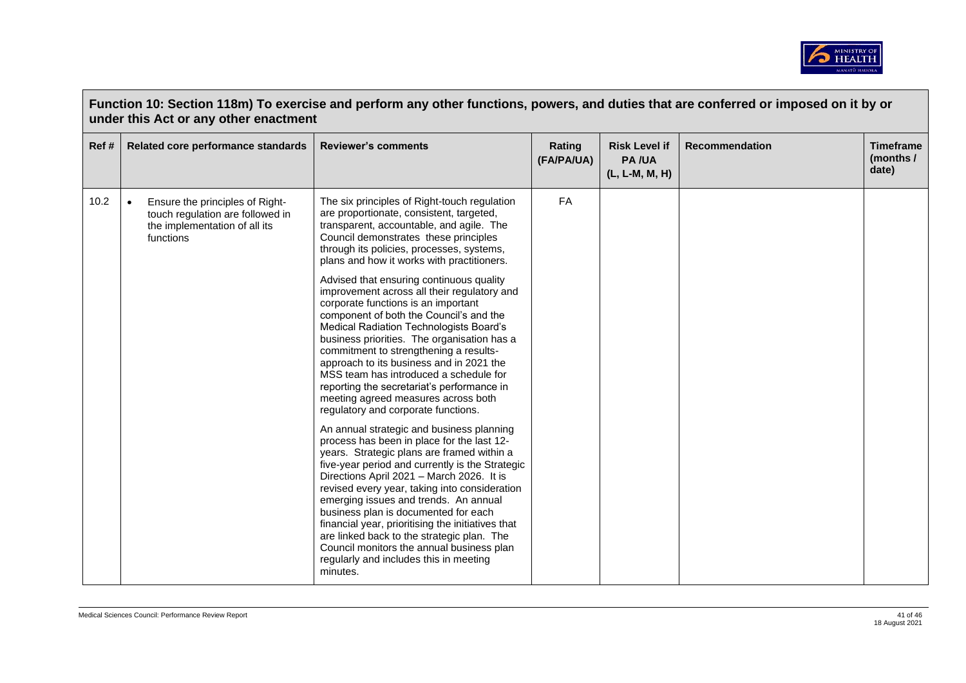

| Function 10: Section 118m) To exercise and perform any other functions, powers, and duties that are conferred or imposed on it by or<br>under this Act or any other enactment |                                                                                                                                |                                                                                                                                                                                                                                                                                                                                                                                                                                                                                                                                                                               |                      |                                                        |                |                                        |
|-------------------------------------------------------------------------------------------------------------------------------------------------------------------------------|--------------------------------------------------------------------------------------------------------------------------------|-------------------------------------------------------------------------------------------------------------------------------------------------------------------------------------------------------------------------------------------------------------------------------------------------------------------------------------------------------------------------------------------------------------------------------------------------------------------------------------------------------------------------------------------------------------------------------|----------------------|--------------------------------------------------------|----------------|----------------------------------------|
| Ref#                                                                                                                                                                          | Related core performance standards                                                                                             | <b>Reviewer's comments</b>                                                                                                                                                                                                                                                                                                                                                                                                                                                                                                                                                    | Rating<br>(FA/PA/UA) | <b>Risk Level if</b><br><b>PA/UA</b><br>(L, L-M, M, H) | Recommendation | <b>Timeframe</b><br>(months /<br>date) |
| 10.2                                                                                                                                                                          | $\bullet$<br>Ensure the principles of Right-<br>touch regulation are followed in<br>the implementation of all its<br>functions | The six principles of Right-touch regulation<br>are proportionate, consistent, targeted,<br>transparent, accountable, and agile. The<br>Council demonstrates these principles<br>through its policies, processes, systems,<br>plans and how it works with practitioners.                                                                                                                                                                                                                                                                                                      | <b>FA</b>            |                                                        |                |                                        |
|                                                                                                                                                                               |                                                                                                                                | Advised that ensuring continuous quality<br>improvement across all their regulatory and<br>corporate functions is an important<br>component of both the Council's and the<br>Medical Radiation Technologists Board's<br>business priorities. The organisation has a<br>commitment to strengthening a results-<br>approach to its business and in 2021 the<br>MSS team has introduced a schedule for<br>reporting the secretariat's performance in<br>meeting agreed measures across both<br>regulatory and corporate functions.                                               |                      |                                                        |                |                                        |
|                                                                                                                                                                               |                                                                                                                                | An annual strategic and business planning<br>process has been in place for the last 12-<br>years. Strategic plans are framed within a<br>five-year period and currently is the Strategic<br>Directions April 2021 - March 2026. It is<br>revised every year, taking into consideration<br>emerging issues and trends. An annual<br>business plan is documented for each<br>financial year, prioritising the initiatives that<br>are linked back to the strategic plan. The<br>Council monitors the annual business plan<br>regularly and includes this in meeting<br>minutes. |                      |                                                        |                |                                        |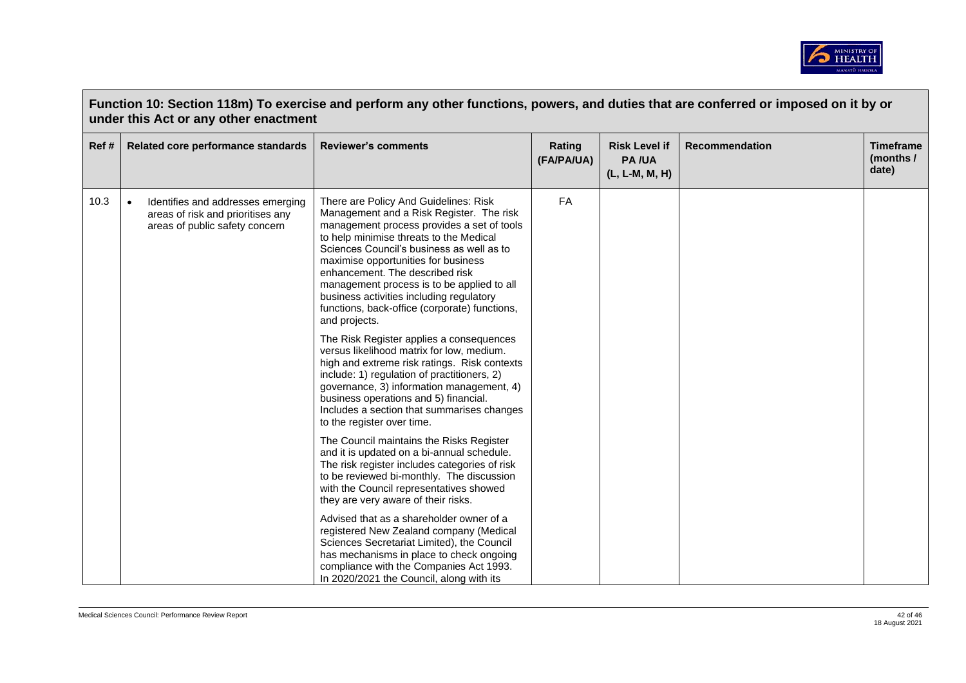

| Function 10: Section 118m) To exercise and perform any other functions, powers, and duties that are conferred or imposed on it by or<br>under this Act or any other enactment |                                                                                                                       |                                                                                                                                                                                                                                                                                                                                                                                                                                                               |                      |                                                        |                       |                                        |  |
|-------------------------------------------------------------------------------------------------------------------------------------------------------------------------------|-----------------------------------------------------------------------------------------------------------------------|---------------------------------------------------------------------------------------------------------------------------------------------------------------------------------------------------------------------------------------------------------------------------------------------------------------------------------------------------------------------------------------------------------------------------------------------------------------|----------------------|--------------------------------------------------------|-----------------------|----------------------------------------|--|
| Ref#                                                                                                                                                                          | Related core performance standards                                                                                    | <b>Reviewer's comments</b>                                                                                                                                                                                                                                                                                                                                                                                                                                    | Rating<br>(FA/PA/UA) | <b>Risk Level if</b><br><b>PA/UA</b><br>(L, L-M, M, H) | <b>Recommendation</b> | <b>Timeframe</b><br>(months /<br>date) |  |
| 10.3                                                                                                                                                                          | $\bullet$<br>Identifies and addresses emerging<br>areas of risk and prioritises any<br>areas of public safety concern | There are Policy And Guidelines: Risk<br>Management and a Risk Register. The risk<br>management process provides a set of tools<br>to help minimise threats to the Medical<br>Sciences Council's business as well as to<br>maximise opportunities for business<br>enhancement. The described risk<br>management process is to be applied to all<br>business activities including regulatory<br>functions, back-office (corporate) functions,<br>and projects. | FA                   |                                                        |                       |                                        |  |
|                                                                                                                                                                               |                                                                                                                       | The Risk Register applies a consequences<br>versus likelihood matrix for low, medium.<br>high and extreme risk ratings. Risk contexts<br>include: 1) regulation of practitioners, 2)<br>governance, 3) information management, 4)<br>business operations and 5) financial.<br>Includes a section that summarises changes<br>to the register over time.                                                                                                        |                      |                                                        |                       |                                        |  |
|                                                                                                                                                                               |                                                                                                                       | The Council maintains the Risks Register<br>and it is updated on a bi-annual schedule.<br>The risk register includes categories of risk<br>to be reviewed bi-monthly. The discussion<br>with the Council representatives showed<br>they are very aware of their risks.                                                                                                                                                                                        |                      |                                                        |                       |                                        |  |
|                                                                                                                                                                               |                                                                                                                       | Advised that as a shareholder owner of a<br>registered New Zealand company (Medical<br>Sciences Secretariat Limited), the Council<br>has mechanisms in place to check ongoing<br>compliance with the Companies Act 1993.<br>In 2020/2021 the Council, along with its                                                                                                                                                                                          |                      |                                                        |                       |                                        |  |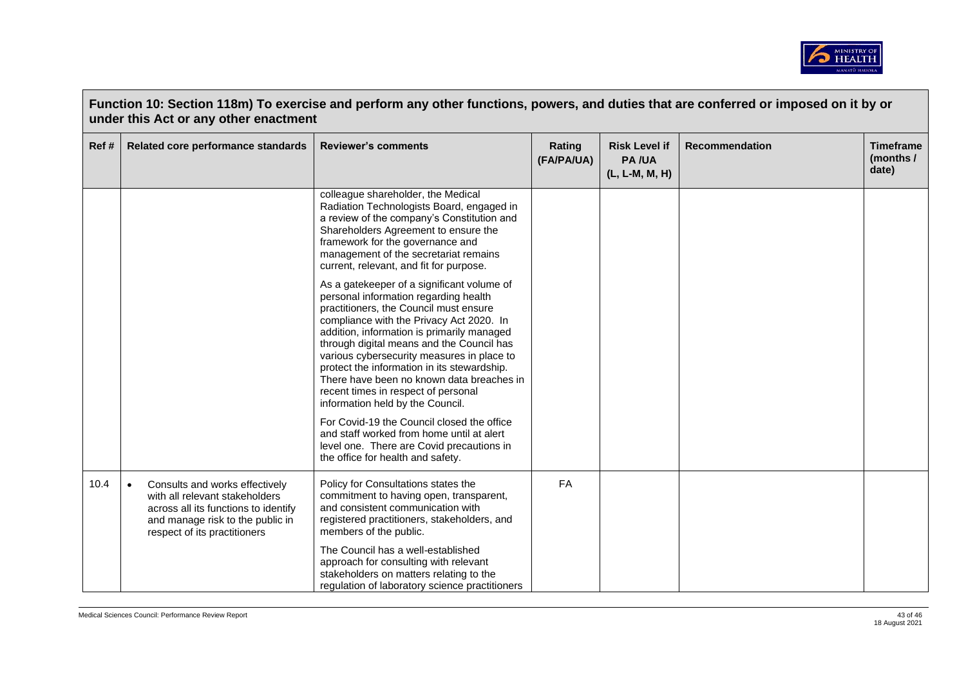

| Function 10: Section 118m) To exercise and perform any other functions, powers, and duties that are conferred or imposed on it by or<br>under this Act or any other enactment |                                                                                                                                                                                           |                                                                                                                                                                                                                                                                                                                                                                                                                                                                                           |                      |                                                        |                       |                                        |  |
|-------------------------------------------------------------------------------------------------------------------------------------------------------------------------------|-------------------------------------------------------------------------------------------------------------------------------------------------------------------------------------------|-------------------------------------------------------------------------------------------------------------------------------------------------------------------------------------------------------------------------------------------------------------------------------------------------------------------------------------------------------------------------------------------------------------------------------------------------------------------------------------------|----------------------|--------------------------------------------------------|-----------------------|----------------------------------------|--|
| Ref#                                                                                                                                                                          | Related core performance standards                                                                                                                                                        | <b>Reviewer's comments</b>                                                                                                                                                                                                                                                                                                                                                                                                                                                                | Rating<br>(FA/PA/UA) | <b>Risk Level if</b><br><b>PA/UA</b><br>(L, L-M, M, H) | <b>Recommendation</b> | <b>Timeframe</b><br>(months /<br>date) |  |
|                                                                                                                                                                               |                                                                                                                                                                                           | colleague shareholder, the Medical<br>Radiation Technologists Board, engaged in<br>a review of the company's Constitution and<br>Shareholders Agreement to ensure the<br>framework for the governance and<br>management of the secretariat remains<br>current, relevant, and fit for purpose.                                                                                                                                                                                             |                      |                                                        |                       |                                        |  |
|                                                                                                                                                                               |                                                                                                                                                                                           | As a gatekeeper of a significant volume of<br>personal information regarding health<br>practitioners, the Council must ensure<br>compliance with the Privacy Act 2020. In<br>addition, information is primarily managed<br>through digital means and the Council has<br>various cybersecurity measures in place to<br>protect the information in its stewardship.<br>There have been no known data breaches in<br>recent times in respect of personal<br>information held by the Council. |                      |                                                        |                       |                                        |  |
|                                                                                                                                                                               |                                                                                                                                                                                           | For Covid-19 the Council closed the office<br>and staff worked from home until at alert<br>level one. There are Covid precautions in<br>the office for health and safety.                                                                                                                                                                                                                                                                                                                 |                      |                                                        |                       |                                        |  |
| 10.4                                                                                                                                                                          | Consults and works effectively<br>$\bullet$<br>with all relevant stakeholders<br>across all its functions to identify<br>and manage risk to the public in<br>respect of its practitioners | Policy for Consultations states the<br>commitment to having open, transparent,<br>and consistent communication with<br>registered practitioners, stakeholders, and<br>members of the public.                                                                                                                                                                                                                                                                                              | FA                   |                                                        |                       |                                        |  |
|                                                                                                                                                                               |                                                                                                                                                                                           | The Council has a well-established<br>approach for consulting with relevant<br>stakeholders on matters relating to the<br>regulation of laboratory science practitioners                                                                                                                                                                                                                                                                                                                  |                      |                                                        |                       |                                        |  |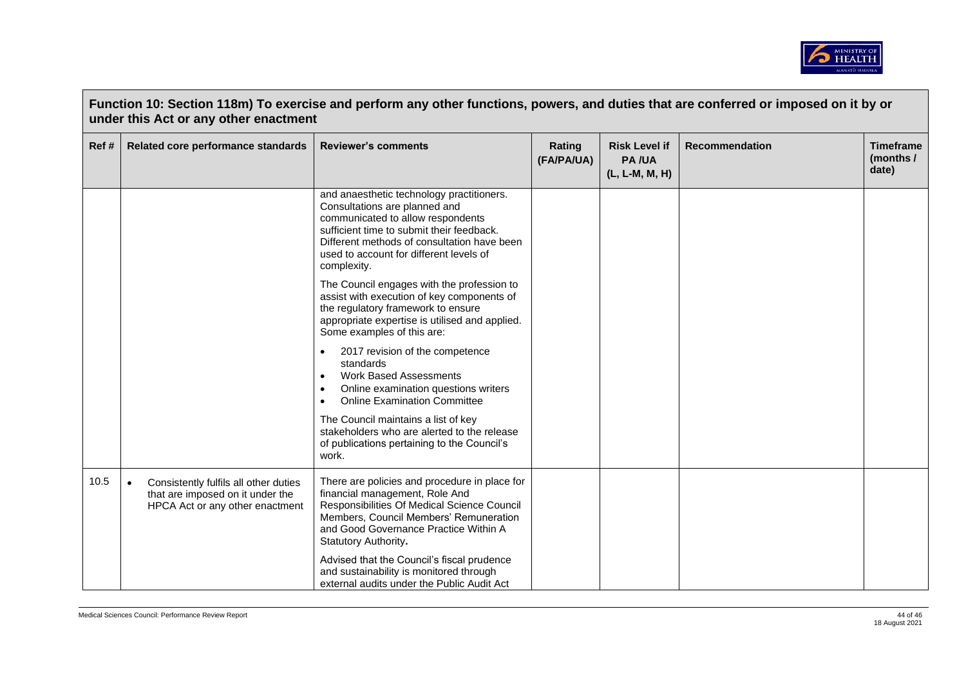

| Function 10: Section 118m) To exercise and perform any other functions, powers, and duties that are conferred or imposed on it by or<br>under this Act or any other enactment |                                                                                                                           |                                                                                                                                                                                                                                                                       |                      |                                                        |                       |                                        |  |
|-------------------------------------------------------------------------------------------------------------------------------------------------------------------------------|---------------------------------------------------------------------------------------------------------------------------|-----------------------------------------------------------------------------------------------------------------------------------------------------------------------------------------------------------------------------------------------------------------------|----------------------|--------------------------------------------------------|-----------------------|----------------------------------------|--|
| Ref #                                                                                                                                                                         | Related core performance standards                                                                                        | <b>Reviewer's comments</b>                                                                                                                                                                                                                                            | Rating<br>(FA/PA/UA) | <b>Risk Level if</b><br><b>PA/UA</b><br>(L, L-M, M, H) | <b>Recommendation</b> | <b>Timeframe</b><br>(months /<br>date) |  |
|                                                                                                                                                                               |                                                                                                                           | and anaesthetic technology practitioners.<br>Consultations are planned and<br>communicated to allow respondents<br>sufficient time to submit their feedback.<br>Different methods of consultation have been<br>used to account for different levels of<br>complexity. |                      |                                                        |                       |                                        |  |
|                                                                                                                                                                               |                                                                                                                           | The Council engages with the profession to<br>assist with execution of key components of<br>the regulatory framework to ensure<br>appropriate expertise is utilised and applied.<br>Some examples of this are:                                                        |                      |                                                        |                       |                                        |  |
|                                                                                                                                                                               |                                                                                                                           | 2017 revision of the competence<br>standards<br><b>Work Based Assessments</b><br>$\bullet$<br>Online examination questions writers<br>$\bullet$<br><b>Online Examination Committee</b>                                                                                |                      |                                                        |                       |                                        |  |
|                                                                                                                                                                               |                                                                                                                           | The Council maintains a list of key<br>stakeholders who are alerted to the release<br>of publications pertaining to the Council's<br>work.                                                                                                                            |                      |                                                        |                       |                                        |  |
| 10.5                                                                                                                                                                          | Consistently fulfils all other duties<br>$\bullet$<br>that are imposed on it under the<br>HPCA Act or any other enactment | There are policies and procedure in place for<br>financial management, Role And<br>Responsibilities Of Medical Science Council<br>Members, Council Members' Remuneration<br>and Good Governance Practice Within A<br>Statutory Authority.                             |                      |                                                        |                       |                                        |  |
|                                                                                                                                                                               |                                                                                                                           | Advised that the Council's fiscal prudence<br>and sustainability is monitored through<br>external audits under the Public Audit Act                                                                                                                                   |                      |                                                        |                       |                                        |  |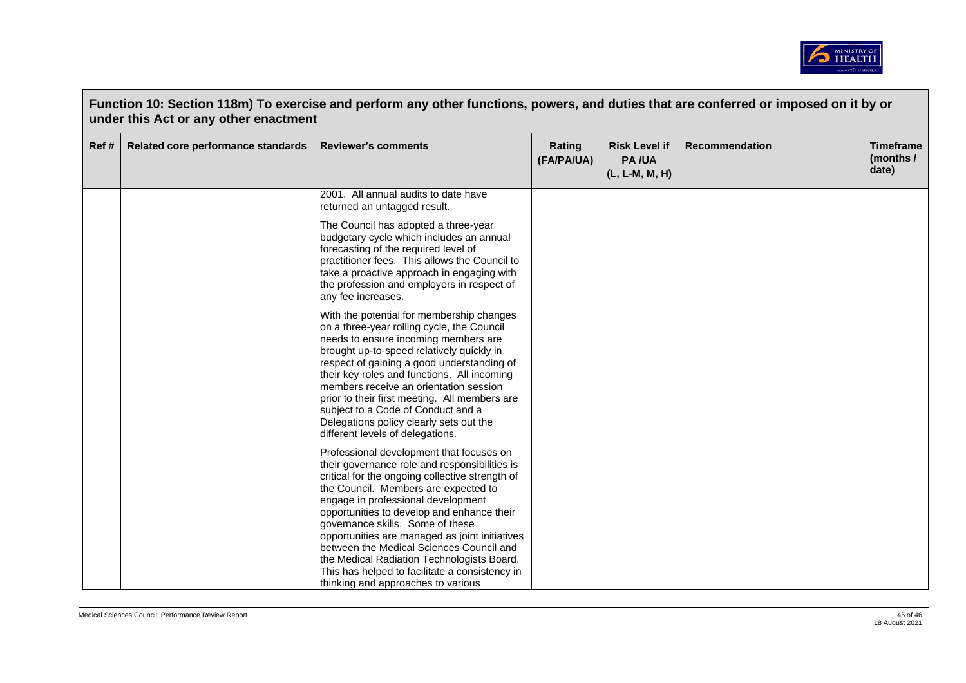

|      | Function 10: Section 118m) To exercise and perform any other functions, powers, and duties that are conferred or imposed on it by or<br>under this Act or any other enactment |                                                                                                                                                                                                                                                                                                                                                                                                                                                                                           |                      |                                                        |                       |                                        |  |  |
|------|-------------------------------------------------------------------------------------------------------------------------------------------------------------------------------|-------------------------------------------------------------------------------------------------------------------------------------------------------------------------------------------------------------------------------------------------------------------------------------------------------------------------------------------------------------------------------------------------------------------------------------------------------------------------------------------|----------------------|--------------------------------------------------------|-----------------------|----------------------------------------|--|--|
| Ref# | Related core performance standards                                                                                                                                            | <b>Reviewer's comments</b>                                                                                                                                                                                                                                                                                                                                                                                                                                                                | Rating<br>(FA/PA/UA) | <b>Risk Level if</b><br><b>PA/UA</b><br>(L, L-M, M, H) | <b>Recommendation</b> | <b>Timeframe</b><br>(months /<br>date) |  |  |
|      |                                                                                                                                                                               | 2001. All annual audits to date have<br>returned an untagged result.                                                                                                                                                                                                                                                                                                                                                                                                                      |                      |                                                        |                       |                                        |  |  |
|      |                                                                                                                                                                               | The Council has adopted a three-year<br>budgetary cycle which includes an annual<br>forecasting of the required level of<br>practitioner fees. This allows the Council to<br>take a proactive approach in engaging with<br>the profession and employers in respect of<br>any fee increases.                                                                                                                                                                                               |                      |                                                        |                       |                                        |  |  |
|      |                                                                                                                                                                               | With the potential for membership changes<br>on a three-year rolling cycle, the Council<br>needs to ensure incoming members are<br>brought up-to-speed relatively quickly in<br>respect of gaining a good understanding of<br>their key roles and functions. All incoming<br>members receive an orientation session<br>prior to their first meeting. All members are<br>subject to a Code of Conduct and a<br>Delegations policy clearly sets out the<br>different levels of delegations. |                      |                                                        |                       |                                        |  |  |
|      |                                                                                                                                                                               | Professional development that focuses on<br>their governance role and responsibilities is<br>critical for the ongoing collective strength of<br>the Council. Members are expected to<br>engage in professional development<br>opportunities to develop and enhance their<br>governance skills. Some of these<br>opportunities are managed as joint initiatives<br>between the Medical Sciences Council and<br>the Medical Radiation Technologists Board.                                  |                      |                                                        |                       |                                        |  |  |
|      |                                                                                                                                                                               | This has helped to facilitate a consistency in<br>thinking and approaches to various                                                                                                                                                                                                                                                                                                                                                                                                      |                      |                                                        |                       |                                        |  |  |